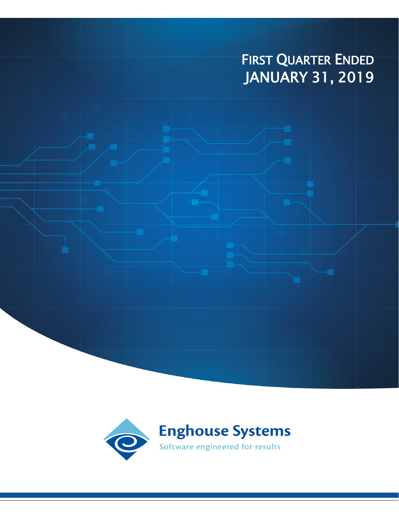# FIRST QUARTER ENDED JANUARY 31, 2019

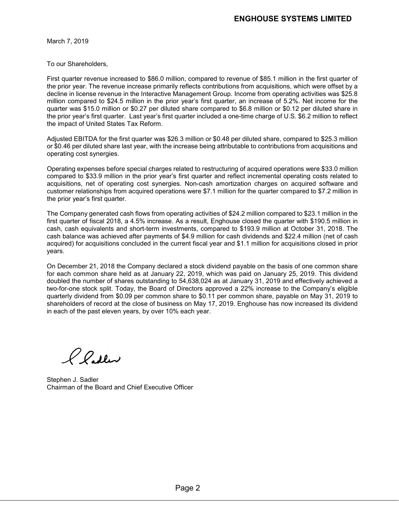March 7, 2019

To our Shareholders,

First quarter revenue increased to \$86.0 million, compared to revenue of \$85.1 million in the first quarter of the prior year. The revenue increase primarily reflects contributions from acquisitions, which were offset by a decline in license revenue in the Interactive Management Group. Income from operating activities was \$25.8 million compared to \$24.5 million in the prior year's first quarter, an increase of 5.2%. Net income for the quarter was \$15.0 million or \$0.27 per diluted share compared to \$6.8 million or \$0.12 per diluted share in the prior year's first quarter. Last year's first quarter included a one-time charge of U.S. \$6.2 million to reflect the impact of United States Tax Reform.

Adjusted EBITDA for the first quarter was \$26.3 million or \$0.48 per diluted share, compared to \$25.3 million or \$0.46 per diluted share last year, with the increase being attributable to contributions from acquisitions and operating cost synergies.

Operating expenses before special charges related to restructuring of acquired operations were \$33.0 million compared to \$33.9 million in the prior year's first quarter and reflect incremental operating costs related to acquisitions, net of operating cost synergies. Non-cash amortization charges on acquired software and customer relationships from acquired operations were \$7.1 million for the quarter compared to \$7.2 million in the prior year's first quarter.

The Company generated cash flows from operating activities of \$24.2 million compared to \$23.1 million in the first quarter of fiscal 2018, a 4.5% increase. As a result, Enghouse closed the quarter with \$190.5 million in cash, cash equivalents and short-term investments, compared to \$193.9 million at October 31, 2018. The cash balance was achieved after payments of \$4.9 million for cash dividends and \$22.4 million (net of cash acquired) for acquisitions concluded in the current fiscal year and \$1.1 million for acquisitions closed in prior years.

On December 21, 2018 the Company declared a stock dividend payable on the basis of one common share for each common share held as at January 22, 2019, which was paid on January 25, 2019. This dividend doubled the number of shares outstanding to 54,638,024 as at January 31, 2019 and effectively achieved a two-for-one stock split. Today, the Board of Directors approved a 22% increase to the Company's eligible quarterly dividend from \$0.09 per common share to \$0.11 per common share, payable on May 31, 2019 to shareholders of record at the close of business on May 17, 2019. Enghouse has now increased its dividend in each of the past eleven years, by over 10% each year.

Pladler

Stephen J. Sadler Chairman of the Board and Chief Executive Officer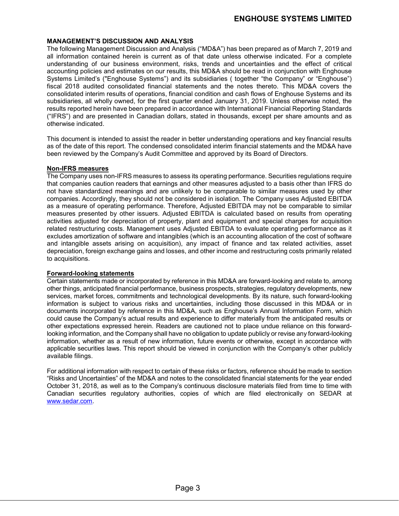### **MANAGEMENT'S DISCUSSION AND ANALYSIS**

The following Management Discussion and Analysis ("MD&A") has been prepared as of March 7, 2019 and all information contained herein is current as of that date unless otherwise indicated. For a complete understanding of our business environment, risks, trends and uncertainties and the effect of critical accounting policies and estimates on our results, this MD&A should be read in conjunction with Enghouse Systems Limited's ("Enghouse Systems") and its subsidiaries ( together "the Company" or "Enghouse") fiscal 2018 audited consolidated financial statements and the notes thereto. This MD&A covers the consolidated interim results of operations, financial condition and cash flows of Enghouse Systems and its subsidiaries, all wholly owned, for the first quarter ended January 31, 2019. Unless otherwise noted, the results reported herein have been prepared in accordance with International Financial Reporting Standards ("IFRS") and are presented in Canadian dollars, stated in thousands, except per share amounts and as otherwise indicated.

This document is intended to assist the reader in better understanding operations and key financial results as of the date of this report. The condensed consolidated interim financial statements and the MD&A have been reviewed by the Company's Audit Committee and approved by its Board of Directors.

### **Non-IFRS measures**

The Company uses non-IFRS measures to assess its operating performance. Securities regulations require that companies caution readers that earnings and other measures adjusted to a basis other than IFRS do not have standardized meanings and are unlikely to be comparable to similar measures used by other companies. Accordingly, they should not be considered in isolation. The Company uses Adjusted EBITDA as a measure of operating performance. Therefore, Adjusted EBITDA may not be comparable to similar measures presented by other issuers. Adjusted EBITDA is calculated based on results from operating activities adjusted for depreciation of property, plant and equipment and special charges for acquisition related restructuring costs. Management uses Adjusted EBITDA to evaluate operating performance as it excludes amortization of software and intangibles (which is an accounting allocation of the cost of software and intangible assets arising on acquisition), any impact of finance and tax related activities, asset depreciation, foreign exchange gains and losses, and other income and restructuring costs primarily related to acquisitions.

### **Forward-looking statements**

Certain statements made or incorporated by reference in this MD&A are forward-looking and relate to, among other things, anticipated financial performance, business prospects, strategies, regulatory developments, new services, market forces, commitments and technological developments. By its nature, such forward-looking information is subject to various risks and uncertainties, including those discussed in this MD&A or in documents incorporated by reference in this MD&A, such as Enghouse's Annual Information Form, which could cause the Company's actual results and experience to differ materially from the anticipated results or other expectations expressed herein. Readers are cautioned not to place undue reliance on this forwardlooking information, and the Company shall have no obligation to update publicly or revise any forward-looking information, whether as a result of new information, future events or otherwise, except in accordance with applicable securities laws. This report should be viewed in conjunction with the Company's other publicly available filings.

For additional information with respect to certain of these risks or factors, reference should be made to section "Risks and Uncertainties" of the MD&A and notes to the consolidated financial statements for the year ended October 31, 2018, as well as to the Company's continuous disclosure materials filed from time to time with Canadian securities regulatory authorities, copies of which are filed electronically on SEDAR at [www.sedar.com.](http://www.sedar.com/)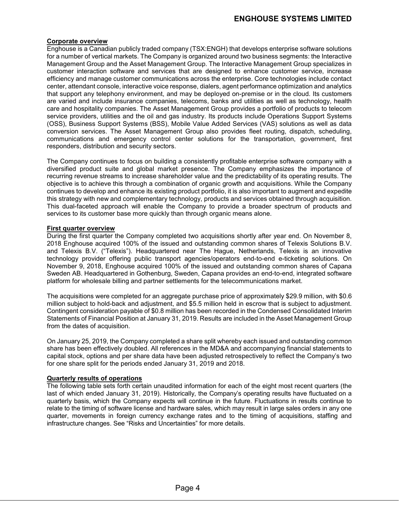### **Corporate overview**

Enghouse is a Canadian publicly traded company (TSX:ENGH) that develops enterprise software solutions for a number of vertical markets. The Company is organized around two business segments: the Interactive Management Group and the Asset Management Group. The Interactive Management Group specializes in customer interaction software and services that are designed to enhance customer service, increase efficiency and manage customer communications across the enterprise. Core technologies include contact center, attendant console, interactive voice response, dialers, agent performance optimization and analytics that support any telephony environment, and may be deployed on-premise or in the cloud. Its customers are varied and include insurance companies, telecoms, banks and utilities as well as technology, health care and hospitality companies. The Asset Management Group provides a portfolio of products to telecom service providers, utilities and the oil and gas industry. Its products include Operations Support Systems (OSS), Business Support Systems (BSS), Mobile Value Added Services (VAS) solutions as well as data conversion services. The Asset Management Group also provides fleet routing, dispatch, scheduling, communications and emergency control center solutions for the transportation, government, first responders, distribution and security sectors.

The Company continues to focus on building a consistently profitable enterprise software company with a diversified product suite and global market presence. The Company emphasizes the importance of recurring revenue streams to increase shareholder value and the predictability of its operating results. The objective is to achieve this through a combination of organic growth and acquisitions. While the Company continues to develop and enhance its existing product portfolio, it is also important to augment and expedite this strategy with new and complementary technology, products and services obtained through acquisition. This dual-faceted approach will enable the Company to provide a broader spectrum of products and services to its customer base more quickly than through organic means alone.

### **First quarter overview**

During the first quarter the Company completed two acquisitions shortly after year end. On November 8, 2018 Enghouse acquired 100% of the issued and outstanding common shares of Telexis Solutions B.V. and Telexis B.V. ("Telexis"). Headquartered near The Hague, Netherlands, Telexis is an innovative technology provider offering public transport agencies/operators end-to-end e-ticketing solutions. On November 9, 2018, Enghouse acquired 100% of the issued and outstanding common shares of Capana Sweden AB. Headquartered in Gothenburg, Sweden, Capana provides an end-to-end, integrated software platform for wholesale billing and partner settlements for the telecommunications market.

The acquisitions were completed for an aggregate purchase price of approximately \$29.9 million, with \$0.6 million subject to hold-back and adjustment, and \$5.5 million held in escrow that is subject to adjustment. Contingent consideration payable of \$0.8 million has been recorded in the Condensed Consolidated Interim Statements of Financial Position at January 31, 2019. Results are included in the Asset Management Group from the dates of acquisition.

On January 25, 2019, the Company completed a share split whereby each issued and outstanding common share has been effectively doubled. All references in the MD&A and accompanying financial statements to capital stock, options and per share data have been adjusted retrospectively to reflect the Company's two for one share split for the periods ended January 31, 2019 and 2018.

### **Quarterly results of operations**

The following table sets forth certain unaudited information for each of the eight most recent quarters (the last of which ended January 31, 2019). Historically, the Company's operating results have fluctuated on a quarterly basis, which the Company expects will continue in the future. Fluctuations in results continue to relate to the timing of software license and hardware sales, which may result in large sales orders in any one quarter, movements in foreign currency exchange rates and to the timing of acquisitions, staffing and infrastructure changes. See "Risks and Uncertainties" for more details.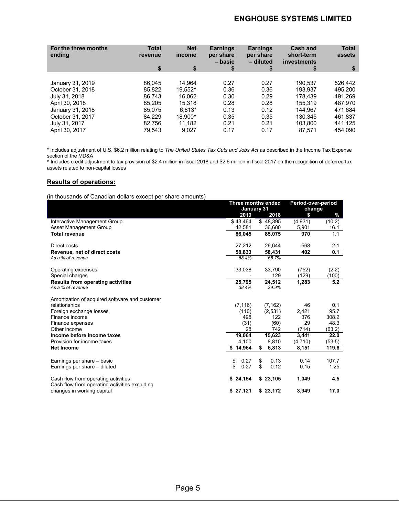# **ENGHOUSE SYSTEMS LIMITED**

| For the three months<br>ending | <b>Total</b><br>revenue | <b>Net</b><br>income | <b>Earnings</b><br>per share<br>- basic | <b>Earnings</b><br>per share<br>- diluted | <b>Cash and</b><br>short-term<br>investments | <b>Total</b><br>assets |
|--------------------------------|-------------------------|----------------------|-----------------------------------------|-------------------------------------------|----------------------------------------------|------------------------|
|                                | \$                      | \$                   | \$                                      | \$                                        | \$                                           | \$                     |
|                                |                         |                      |                                         |                                           |                                              |                        |
| January 31, 2019               | 86.045                  | 14.964               | 0.27                                    | 0.27                                      | 190.537                                      | 526.442                |
| October 31, 2018               | 85.822                  | 19.552^              | 0.36                                    | 0.36                                      | 193.937                                      | 495.200                |
| July 31, 2018                  | 86.743                  | 16.062               | 0.30                                    | 0.29                                      | 178.439                                      | 491.269                |
| April 30, 2018                 | 85.205                  | 15,318               | 0.28                                    | 0.28                                      | 155,319                                      | 487,970                |
| January 31, 2018               | 85.075                  | $6.813*$             | 0.13                                    | 0.12                                      | 144.967                                      | 471.684                |
| October 31, 2017               | 84.229                  | 18.900^              | 0.35                                    | 0.35                                      | 130.345                                      | 461.837                |
| July 31, 2017                  | 82.756                  | 11.182               | 0.21                                    | 0.21                                      | 103.800                                      | 441,125                |
| April 30, 2017                 | 79.543                  | 9.027                | 0.17                                    | 0.17                                      | 87.571                                       | 454.090                |

\* Includes adjustment of U.S. \$6.2 million relating to *The United States Tax Cuts and Jobs Act* as described in the Income Tax Expense section of the MD&A

^ Includes credit adjustment to tax provision of \$2.4 million in fiscal 2018 and \$2.6 million in fiscal 2017 on the recognition of deferred tax assets related to non-capital losses

### **Results of operations:**

(in thousands of Canadian dollars except per share amounts)

|                                                                                      |              | Three months ended |         | Period-over-period |  |
|--------------------------------------------------------------------------------------|--------------|--------------------|---------|--------------------|--|
|                                                                                      |              | January 31         |         | change             |  |
|                                                                                      | 2019         | 2018               | \$      | $\%$               |  |
| Interactive Management Group                                                         | \$43,464     | \$48,395           | (4,931) | (10.2)             |  |
| Asset Management Group                                                               | 42,581       | 36,680             | 5,901   | 16.1               |  |
| <b>Total revenue</b>                                                                 | 86,045       | 85,075             | 970     | 1.1                |  |
| Direct costs                                                                         | 27,212       | 26,644             | 568     | 2.1                |  |
| Revenue, net of direct costs                                                         | 58.833       | 58,431             | 402     | 0.1                |  |
| As a % of revenue                                                                    | 68.4%        | 68.7%              |         |                    |  |
| Operating expenses                                                                   | 33,038       | 33,790             | (752)   | (2.2)              |  |
| Special charges                                                                      |              | 129                | (129)   | (100)              |  |
| <b>Results from operating activities</b>                                             | 25,795       | 24,512             | 1,283   | 5.2                |  |
| As a % of revenue                                                                    | 38.4%        | 39.9%              |         |                    |  |
| Amortization of acquired software and customer                                       |              |                    |         |                    |  |
| relationships                                                                        | (7, 116)     | (7, 162)           | 46      | 0.1                |  |
| Foreign exchange losses                                                              | (110)        | (2,531)            | 2,421   | 95.7               |  |
| Finance income                                                                       | 498          | 122                | 376     | 308.2              |  |
| Finance expenses                                                                     | (31)         | (60)               | 29      | 48.3               |  |
| Other income                                                                         | 28           | 742                | (714)   | (63.2)             |  |
| Income before income taxes                                                           | 19,064       | 15,623             | 3,441   | 22.0               |  |
| Provision for income taxes                                                           | 4,100        | 8,810              | (4,710) | (53.5)             |  |
| <b>Net Income</b>                                                                    | \$14,964     | \$<br>6,813        | 8,151   | 119.6              |  |
| Earnings per share - basic                                                           | 0.27<br>\$   | \$<br>0.13         | 0.14    | 107.7              |  |
| Earnings per share - diluted                                                         | \$<br>0.27   | \$<br>0.12         | 0.15    | 1.25               |  |
| Cash flow from operating activities<br>Cash flow from operating activities excluding | 24,154<br>S. | \$23,105           | 1,049   | 4.5                |  |
| changes in working capital                                                           | \$27,121     | \$23,172           | 3,949   | 17.0               |  |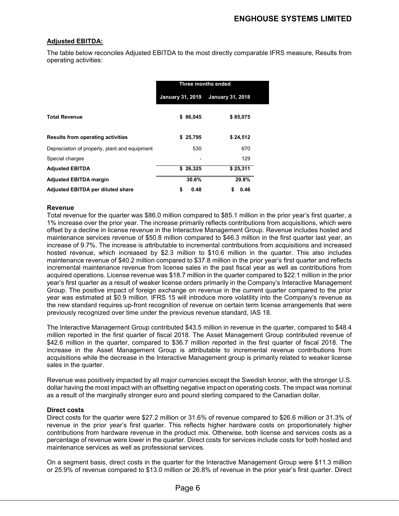### **Adjusted EBITDA:**

The table below reconciles Adjusted EBITDA to the most directly comparable IFRS measure, Results from operating activities:

|                                               | Three months ended      |          |                         |  |  |
|-----------------------------------------------|-------------------------|----------|-------------------------|--|--|
|                                               | <b>January 31, 2019</b> |          | <b>January 31, 2018</b> |  |  |
| <b>Total Revenue</b>                          |                         | \$86,045 | \$85,075                |  |  |
| <b>Results from operating activities</b>      | S.                      | 25,795   | \$24,512                |  |  |
| Depreciation of property, plant and equipment |                         | 530      | 670                     |  |  |
| Special charges                               |                         |          | 129                     |  |  |
| <b>Adjusted EBITDA</b>                        |                         | \$26,325 | \$25,311                |  |  |
| <b>Adjusted EBITDA margin</b>                 |                         | 30.6%    | 29.8%                   |  |  |
| <b>Adjusted EBITDA per diluted share</b>      | \$                      | 0.48     | \$<br>0.46              |  |  |

### **Revenue**

Total revenue for the quarter was \$86.0 million compared to \$85.1 million in the prior year's first quarter, a 1% increase over the prior year. The increase primarily reflects contributions from acquisitions, which were offset by a decline in license revenue in the Interactive Management Group. Revenue includes hosted and maintenance services revenue of \$50.8 million compared to \$46.3 million in the first quarter last year, an increase of 9.7%. The increase is attributable to incremental contributions from acquisitions and increased hosted revenue, which increased by \$2.3 million to \$10.6 million in the quarter. This also includes maintenance revenue of \$40.2 million compared to \$37.8 million in the prior year's first quarter and reflects incremental maintenance revenue from license sales in the past fiscal year as well as contributions from acquired operations. License revenue was \$18.7 million in the quarter compared to \$22.1 million in the prior year's first quarter as a result of weaker license orders primarily in the Company's Interactive Management Group. The positive impact of foreign exchange on revenue in the current quarter compared to the prior year was estimated at \$0.9 million. IFRS 15 will introduce more volatility into the Company's revenue as the new standard requires up-front recognition of revenue on certain term license arrangements that were previously recognized over time under the previous revenue standard, IAS 18.

The Interactive Management Group contributed \$43.5 million in revenue in the quarter, compared to \$48.4 million reported in the first quarter of fiscal 2018. The Asset Management Group contributed revenue of \$42.6 million in the quarter, compared to \$36.7 million reported in the first quarter of fiscal 2018. The increase in the Asset Management Group is attributable to incremental revenue contributions from acquisitions while the decrease in the Interactive Management group is primarily related to weaker license sales in the quarter.

Revenue was positively impacted by all major currencies except the Swedish kronor, with the stronger U.S. dollar having the most impact with an offsetting negative impact on operating costs. The impact was nominal as a result of the marginally stronger euro and pound sterling compared to the Canadian dollar.

### **Direct costs**

Direct costs for the quarter were \$27.2 million or 31.6% of revenue compared to \$26.6 million or 31.3% of revenue in the prior year's first quarter. This reflects higher hardware costs on proportionately higher contributions from hardware revenue in the product mix. Otherwise, both license and services costs as a percentage of revenue were lower in the quarter. Direct costs for services include costs for both hosted and maintenance services as well as professional services.

On a segment basis, direct costs in the quarter for the Interactive Management Group were \$11.3 million or 25.9% of revenue compared to \$13.0 million or 26.8% of revenue in the prior year's first quarter. Direct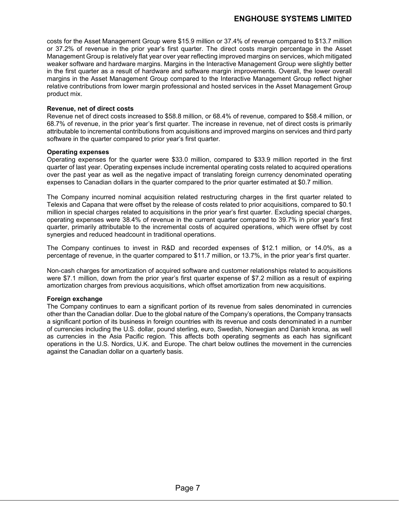costs for the Asset Management Group were \$15.9 million or 37.4% of revenue compared to \$13.7 million or 37.2% of revenue in the prior year's first quarter. The direct costs margin percentage in the Asset Management Group is relatively flat year over year reflecting improved margins on services, which mitigated weaker software and hardware margins. Margins in the Interactive Management Group were slightly better in the first quarter as a result of hardware and software margin improvements. Overall, the lower overall margins in the Asset Management Group compared to the Interactive Management Group reflect higher relative contributions from lower margin professional and hosted services in the Asset Management Group product mix.

### **Revenue, net of direct costs**

Revenue net of direct costs increased to \$58.8 million, or 68.4% of revenue, compared to \$58.4 million, or 68.7% of revenue, in the prior year's first quarter. The increase in revenue, net of direct costs is primarily attributable to incremental contributions from acquisitions and improved margins on services and third party software in the quarter compared to prior year's first quarter.

### **Operating expenses**

Operating expenses for the quarter were \$33.0 million, compared to \$33.9 million reported in the first quarter of last year. Operating expenses include incremental operating costs related to acquired operations over the past year as well as the negative impact of translating foreign currency denominated operating expenses to Canadian dollars in the quarter compared to the prior quarter estimated at \$0.7 million.

The Company incurred nominal acquisition related restructuring charges in the first quarter related to Telexis and Capana that were offset by the release of costs related to prior acquisitions, compared to \$0.1 million in special charges related to acquisitions in the prior year's first quarter. Excluding special charges, operating expenses were 38.4% of revenue in the current quarter compared to 39.7% in prior year's first quarter, primarily attributable to the incremental costs of acquired operations, which were offset by cost synergies and reduced headcount in traditional operations.

The Company continues to invest in R&D and recorded expenses of \$12.1 million, or 14.0%, as a percentage of revenue, in the quarter compared to \$11.7 million, or 13.7%, in the prior year's first quarter.

Non-cash charges for amortization of acquired software and customer relationships related to acquisitions were \$7.1 million, down from the prior year's first quarter expense of \$7.2 million as a result of expiring amortization charges from previous acquisitions, which offset amortization from new acquisitions.

### **Foreign exchange**

The Company continues to earn a significant portion of its revenue from sales denominated in currencies other than the Canadian dollar. Due to the global nature of the Company's operations, the Company transacts a significant portion of its business in foreign countries with its revenue and costs denominated in a number of currencies including the U.S. dollar, pound sterling, euro, Swedish, Norwegian and Danish krona, as well as currencies in the Asia Pacific region. This affects both operating segments as each has significant operations in the U.S. Nordics, U.K. and Europe. The chart below outlines the movement in the currencies against the Canadian dollar on a quarterly basis.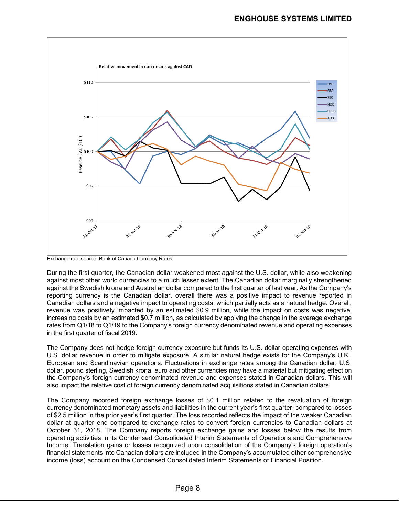

Exchange rate source: Bank of Canada Currency Rates

During the first quarter, the Canadian dollar weakened most against the U.S. dollar, while also weakening against most other world currencies to a much lesser extent. The Canadian dollar marginally strengthened against the Swedish krona and Australian dollar compared to the first quarter of last year. As the Company's reporting currency is the Canadian dollar, overall there was a positive impact to revenue reported in Canadian dollars and a negative impact to operating costs, which partially acts as a natural hedge. Overall, revenue was positively impacted by an estimated \$0.9 million, while the impact on costs was negative, increasing costs by an estimated \$0.7 million, as calculated by applying the change in the average exchange rates from Q1/18 to Q1/19 to the Company's foreign currency denominated revenue and operating expenses in the first quarter of fiscal 2019.

The Company does not hedge foreign currency exposure but funds its U.S. dollar operating expenses with U.S. dollar revenue in order to mitigate exposure. A similar natural hedge exists for the Company's U.K., European and Scandinavian operations. Fluctuations in exchange rates among the Canadian dollar, U.S. dollar, pound sterling, Swedish krona, euro and other currencies may have a material but mitigating effect on the Company's foreign currency denominated revenue and expenses stated in Canadian dollars. This will also impact the relative cost of foreign currency denominated acquisitions stated in Canadian dollars.

The Company recorded foreign exchange losses of \$0.1 million related to the revaluation of foreign currency denominated monetary assets and liabilities in the current year's first quarter, compared to losses of \$2.5 million in the prior year's first quarter. The loss recorded reflects the impact of the weaker Canadian dollar at quarter end compared to exchange rates to convert foreign currencies to Canadian dollars at October 31, 2018. The Company reports foreign exchange gains and losses below the results from operating activities in its Condensed Consolidated Interim Statements of Operations and Comprehensive Income. Translation gains or losses recognized upon consolidation of the Company's foreign operation's financial statements into Canadian dollars are included in the Company's accumulated other comprehensive income (loss) account on the Condensed Consolidated Interim Statements of Financial Position.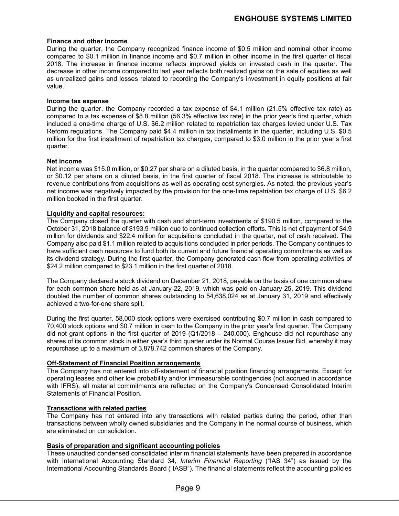### **Finance and other income**

During the quarter, the Company recognized finance income of \$0.5 million and nominal other income compared to \$0.1 million in finance income and \$0.7 million in other income in the first quarter of fiscal 2018. The increase in finance income reflects improved yields on invested cash in the quarter. The decrease in other income compared to last year reflects both realized gains on the sale of equities as well as unrealized gains and losses related to recording the Company's investment in equity positions at fair value.

### **Income tax expense**

During the quarter, the Company recorded a tax expense of \$4.1 million (21.5% effective tax rate) as compared to a tax expense of \$8.8 million (56.3% effective tax rate) in the prior year's first quarter, which included a one-time charge of U.S. \$6.2 million related to repatriation tax charges levied under U.S. Tax Reform regulations. The Company paid \$4.4 million in tax installments in the quarter, including U.S. \$0.5 million for the first installment of repatriation tax charges, compared to \$3.0 million in the prior year's first quarter.

### **Net income**

Net income was \$15.0 million, or \$0.27 per share on a diluted basis, in the quarter compared to \$6.8 million, or \$0.12 per share on a diluted basis, in the first quarter of fiscal 2018. The increase is attributable to revenue contributions from acquisitions as well as operating cost synergies. As noted, the previous year's net income was negatively impacted by the provision for the one-time repatriation tax charge of U.S. \$6.2 million booked in the first quarter.

### **Liquidity and capital resources:**

The Company closed the quarter with cash and short-term investments of \$190.5 million, compared to the October 31, 2018 balance of \$193.9 million due to continued collection efforts. This is net of payment of \$4.9 million for dividends and \$22.4 million for acquisitions concluded in the quarter, net of cash received. The Company also paid \$1.1 million related to acquisitions concluded in prior periods. The Company continues to have sufficient cash resources to fund both its current and future financial operating commitments as well as its dividend strategy. During the first quarter, the Company generated cash flow from operating activities of \$24.2 million compared to \$23.1 million in the first quarter of 2018.

The Company declared a stock dividend on December 21, 2018, payable on the basis of one common share for each common share held as at January 22, 2019, which was paid on January 25, 2019. This dividend doubled the number of common shares outstanding to 54,638,024 as at January 31, 2019 and effectively achieved a two-for-one share split.

During the first quarter, 58,000 stock options were exercised contributing \$0.7 million in cash compared to 70,400 stock options and \$0.7 million in cash to the Company in the prior year's first quarter. The Company did not grant options in the first quarter of 2019 (Q1/2018 – 240,000). Enghouse did not repurchase any shares of its common stock in either year's third quarter under its Normal Course Issuer Bid, whereby it may repurchase up to a maximum of 3,878,742 common shares of the Company.

### **Off-Statement of Financial Position arrangements**

The Company has not entered into off-statement of financial position financing arrangements. Except for operating leases and other low probability and/or immeasurable contingencies (not accrued in accordance with IFRS), all material commitments are reflected on the Company's Condensed Consolidated Interim Statements of Financial Position.

### **Transactions with related parties**

The Company has not entered into any transactions with related parties during the period, other than transactions between wholly owned subsidiaries and the Company in the normal course of business, which are eliminated on consolidation.

### **Basis of preparation and significant accounting policies**

These unaudited condensed consolidated interim financial statements have been prepared in accordance with International Accounting Standard 34*, Interim Financial Reporting* ("IAS 34") as issued by the International Accounting Standards Board ("IASB"). The financial statements reflect the accounting policies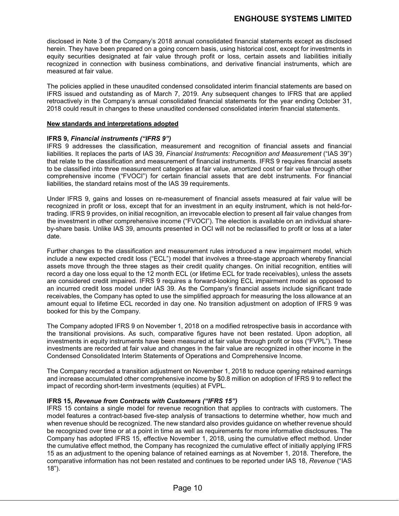disclosed in Note 3 of the Company's 2018 annual consolidated financial statements except as disclosed herein. They have been prepared on a going concern basis, using historical cost, except for investments in equity securities designated at fair value through profit or loss, certain assets and liabilities initially recognized in connection with business combinations, and derivative financial instruments, which are measured at fair value.

The policies applied in these unaudited condensed consolidated interim financial statements are based on IFRS issued and outstanding as of March 7, 2019. Any subsequent changes to IFRS that are applied retroactively in the Company's annual consolidated financial statements for the year ending October 31, 2018 could result in changes to these unaudited condensed consolidated interim financial statements.

### **New standards and interpretations adopted**

### **IFRS 9,** *Financial instruments ("IFRS 9")*

IFRS 9 addresses the classification, measurement and recognition of financial assets and financial liabilities. It replaces the parts of IAS 39, *Financial Instruments: Recognition and Measurement* ("IAS 39") that relate to the classification and measurement of financial instruments. IFRS 9 requires financial assets to be classified into three measurement categories at fair value, amortized cost or fair value through other comprehensive income ("FVOCI") for certain financial assets that are debt instruments. For financial liabilities, the standard retains most of the IAS 39 requirements.

Under IFRS 9, gains and losses on re-measurement of financial assets measured at fair value will be recognized in profit or loss, except that for an investment in an equity instrument, which is not held-fortrading. IFRS 9 provides, on initial recognition, an irrevocable election to present all fair value changes from the investment in other comprehensive income ("FVOCI"). The election is available on an individual shareby-share basis. Unlike IAS 39, amounts presented in OCI will not be reclassified to profit or loss at a later date.

Further changes to the classification and measurement rules introduced a new impairment model, which include a new expected credit loss ("ECL") model that involves a three-stage approach whereby financial assets move through the three stages as their credit quality changes. On initial recognition, entities will record a day one loss equal to the 12 month ECL (or lifetime ECL for trade receivables), unless the assets are considered credit impaired. IFRS 9 requires a forward-looking ECL impairment model as opposed to an incurred credit loss model under IAS 39. As the Company's financial assets include significant trade receivables, the Company has opted to use the simplified approach for measuring the loss allowance at an amount equal to lifetime ECL recorded in day one. No transition adjustment on adoption of IFRS 9 was booked for this by the Company.

The Company adopted IFRS 9 on November 1, 2018 on a modified retrospective basis in accordance with the transitional provisions. As such, comparative figures have not been restated. Upon adoption, all investments in equity instruments have been measured at fair value through profit or loss ("FVPL"). These investments are recorded at fair value and changes in the fair value are recognized in other income in the Condensed Consolidated Interim Statements of Operations and Comprehensive Income.

The Company recorded a transition adjustment on November 1, 2018 to reduce opening retained earnings and increase accumulated other comprehensive income by \$0.8 million on adoption of IFRS 9 to reflect the impact of recording short-term investments (equities) at FVPL.

### **IFRS 15,** *Revenue from Contracts with Customers ("IFRS 15")*

IFRS 15 contains a single model for revenue recognition that applies to contracts with customers. The model features a contract-based five-step analysis of transactions to determine whether, how much and when revenue should be recognized. The new standard also provides guidance on whether revenue should be recognized over time or at a point in time as well as requirements for more informative disclosures. The Company has adopted IFRS 15, effective November 1, 2018, using the cumulative effect method. Under the cumulative effect method, the Company has recognized the cumulative effect of initially applying IFRS 15 as an adjustment to the opening balance of retained earnings as at November 1, 2018. Therefore, the comparative information has not been restated and continues to be reported under IAS 18, *Revenue* ("IAS 18").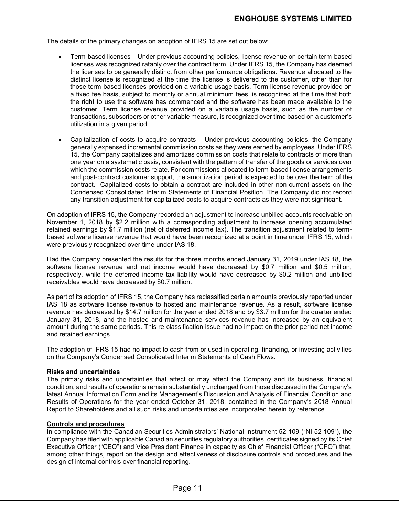The details of the primary changes on adoption of IFRS 15 are set out below:

- Term-based licenses Under previous accounting policies, license revenue on certain term-based licenses was recognized ratably over the contract term. Under IFRS 15, the Company has deemed the licenses to be generally distinct from other performance obligations. Revenue allocated to the distinct license is recognized at the time the license is delivered to the customer, other than for those term-based licenses provided on a variable usage basis. Term license revenue provided on a fixed fee basis, subject to monthly or annual minimum fees, is recognized at the time that both the right to use the software has commenced and the software has been made available to the customer. Term license revenue provided on a variable usage basis, such as the number of transactions, subscribers or other variable measure, is recognized over time based on a customer's utilization in a given period.
- Capitalization of costs to acquire contracts Under previous accounting policies, the Company generally expensed incremental commission costs as they were earned by employees. Under IFRS 15, the Company capitalizes and amortizes commission costs that relate to contracts of more than one year on a systematic basis, consistent with the pattern of transfer of the goods or services over which the commission costs relate. For commissions allocated to term-based license arrangements and post-contract customer support, the amortization period is expected to be over the term of the contract. Capitalized costs to obtain a contract are included in other non-current assets on the Condensed Consolidated Interim Statements of Financial Position. The Company did not record any transition adjustment for capitalized costs to acquire contracts as they were not significant.

On adoption of IFRS 15, the Company recorded an adjustment to increase unbilled accounts receivable on November 1, 2018 by \$2.2 million with a corresponding adjustment to increase opening accumulated retained earnings by \$1.7 million (net of deferred income tax). The transition adjustment related to termbased software license revenue that would have been recognized at a point in time under IFRS 15, which were previously recognized over time under IAS 18.

Had the Company presented the results for the three months ended January 31, 2019 under IAS 18, the software license revenue and net income would have decreased by \$0.7 million and \$0.5 million, respectively, while the deferred income tax liability would have decreased by \$0.2 million and unbilled receivables would have decreased by \$0.7 million.

As part of its adoption of IFRS 15, the Company has reclassified certain amounts previously reported under IAS 18 as software license revenue to hosted and maintenance revenue. As a result, software license revenue has decreased by \$14.7 million for the year ended 2018 and by \$3.7 million for the quarter ended January 31, 2018, and the hosted and maintenance services revenue has increased by an equivalent amount during the same periods. This re-classification issue had no impact on the prior period net income and retained earnings.

The adoption of IFRS 15 had no impact to cash from or used in operating, financing, or investing activities on the Company's Condensed Consolidated Interim Statements of Cash Flows.

### **Risks and uncertainties**

The primary risks and uncertainties that affect or may affect the Company and its business, financial condition, and results of operations remain substantially unchanged from those discussed in the Company's latest Annual Information Form and its Management's Discussion and Analysis of Financial Condition and Results of Operations for the year ended October 31, 2018, contained in the Company's 2018 Annual Report to Shareholders and all such risks and uncertainties are incorporated herein by reference.

### **Controls and procedures**

In compliance with the Canadian Securities Administrators' National Instrument 52-109 ("NI 52-109"), the Company has filed with applicable Canadian securities regulatory authorities, certificates signed by its Chief Executive Officer ("CEO") and Vice President Finance in capacity as Chief Financial Officer ("CFO") that, among other things, report on the design and effectiveness of disclosure controls and procedures and the design of internal controls over financial reporting.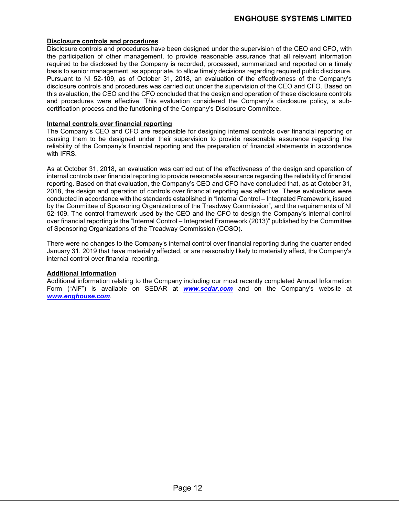### **Disclosure controls and procedures**

Disclosure controls and procedures have been designed under the supervision of the CEO and CFO, with the participation of other management, to provide reasonable assurance that all relevant information required to be disclosed by the Company is recorded, processed, summarized and reported on a timely basis to senior management, as appropriate, to allow timely decisions regarding required public disclosure. Pursuant to NI 52-109, as of October 31, 2018, an evaluation of the effectiveness of the Company's disclosure controls and procedures was carried out under the supervision of the CEO and CFO. Based on this evaluation, the CEO and the CFO concluded that the design and operation of these disclosure controls and procedures were effective. This evaluation considered the Company's disclosure policy, a subcertification process and the functioning of the Company's Disclosure Committee.

### **Internal controls over financial reporting**

The Company's CEO and CFO are responsible for designing internal controls over financial reporting or causing them to be designed under their supervision to provide reasonable assurance regarding the reliability of the Company's financial reporting and the preparation of financial statements in accordance with IFRS.

As at October 31, 2018, an evaluation was carried out of the effectiveness of the design and operation of internal controls over financial reporting to provide reasonable assurance regarding the reliability of financial reporting. Based on that evaluation, the Company's CEO and CFO have concluded that, as at October 31, 2018, the design and operation of controls over financial reporting was effective. These evaluations were conducted in accordance with the standards established in "Internal Control – Integrated Framework, issued by the Committee of Sponsoring Organizations of the Treadway Commission", and the requirements of NI 52-109. The control framework used by the CEO and the CFO to design the Company's internal control over financial reporting is the "Internal Control – Integrated Framework (2013)" published by the Committee of Sponsoring Organizations of the Treadway Commission (COSO).

There were no changes to the Company's internal control over financial reporting during the quarter ended January 31, 2019 that have materially affected, or are reasonably likely to materially affect, the Company's internal control over financial reporting.

### **Additional information**

Additional information relating to the Company including our most recently completed Annual Information Form ("AIF") is available on SEDAR at *[www.sedar.com](http://www.sedar.com/)* and on the Company's website at *[www.enghouse.com](http://www.enghouse.com/)*.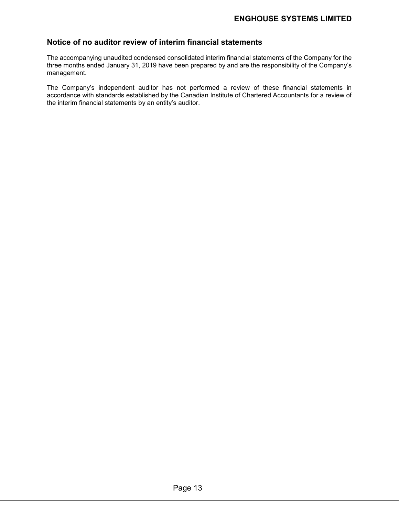# **Notice of no auditor review of interim financial statements**

The accompanying unaudited condensed consolidated interim financial statements of the Company for the three months ended January 31, 2019 have been prepared by and are the responsibility of the Company's management.

The Company's independent auditor has not performed a review of these financial statements in accordance with standards established by the Canadian Institute of Chartered Accountants for a review of the interim financial statements by an entity's auditor.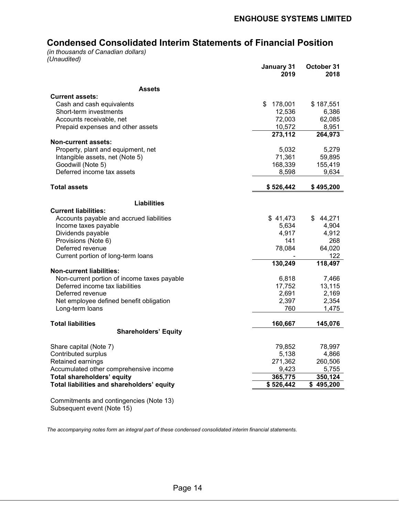# **Condensed Consolidated Interim Statements of Financial Position**

*(in thousands of Canadian dollars) (Unaudited)*

|                                                                  | January 31<br>2019 | October 31<br>2018 |
|------------------------------------------------------------------|--------------------|--------------------|
| <b>Assets</b>                                                    |                    |                    |
| <b>Current assets:</b>                                           |                    |                    |
| Cash and cash equivalents                                        | S<br>178,001       | \$187,551          |
| Short-term investments                                           | 12,536             | 6,386              |
| Accounts receivable, net                                         | 72,003             | 62,085             |
| Prepaid expenses and other assets                                | 10,572             | 8,951              |
|                                                                  | 273,112            | 264,973            |
| <b>Non-current assets:</b>                                       |                    |                    |
| Property, plant and equipment, net                               | 5,032              | 5,279              |
| Intangible assets, net (Note 5)                                  | 71,361             | 59,895             |
| Goodwill (Note 5)                                                | 168,339            | 155,419            |
| Deferred income tax assets                                       | 8,598              | 9,634              |
| <b>Total assets</b>                                              | \$526,442          | \$495,200          |
|                                                                  |                    |                    |
| <b>Liabilities</b><br><b>Current liabilities:</b>                |                    |                    |
|                                                                  |                    |                    |
| Accounts payable and accrued liabilities<br>Income taxes payable | \$41,473<br>5,634  | \$44,271<br>4,904  |
| Dividends payable                                                | 4,917              | 4,912              |
| Provisions (Note 6)                                              | 141                | 268                |
| Deferred revenue                                                 | 78,084             | 64,020             |
| Current portion of long-term loans                               |                    | 122                |
|                                                                  | 130,249            | 118,497            |
| <b>Non-current liabilities:</b>                                  |                    |                    |
| Non-current portion of income taxes payable                      | 6,818              | 7,466              |
| Deferred income tax liabilities                                  | 17,752             | 13,115             |
| Deferred revenue                                                 | 2,691              | 2,169              |
| Net employee defined benefit obligation                          | 2,397              | 2,354              |
| Long-term loans                                                  | 760                | 1,475              |
| <b>Total liabilities</b>                                         | 160,667            | 145,076            |
| <b>Shareholders' Equity</b>                                      |                    |                    |
|                                                                  |                    |                    |
| Share capital (Note 7)                                           | 79,852             | 78,997             |
| Contributed surplus                                              | 5,138              | 4,866              |
| Retained earnings                                                | 271,362            | 260,506            |
| Accumulated other comprehensive income                           | 9,423              | 5,755              |
| Total shareholders' equity                                       | 365,775            | 350,124            |
| Total liabilities and shareholders' equity                       | \$526,442          | \$495,200          |
| Commitmente and contingencies (Note 12)                          |                    |                    |

Commitments and contingencies (Note 13) Subsequent event (Note 15)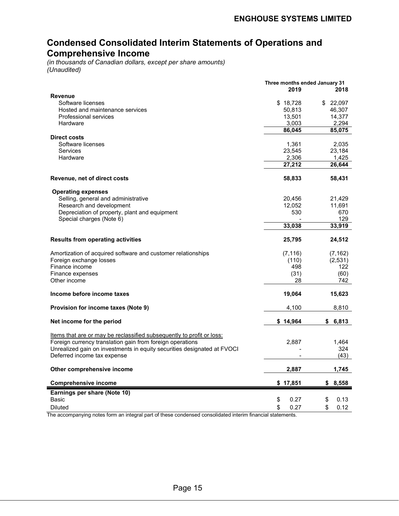# **Condensed Consolidated Interim Statements of Operations and Comprehensive Income**

*(in thousands of Canadian dollars, except per share amounts) (Unaudited)*

|                                                                         | Three months ended January 31 |                 |
|-------------------------------------------------------------------------|-------------------------------|-----------------|
|                                                                         | 2019                          | 2018            |
| <b>Revenue</b>                                                          |                               |                 |
| Software licenses                                                       | \$18,728                      | \$22,097        |
| Hosted and maintenance services                                         | 50,813                        | 46,307          |
| Professional services                                                   | 13,501                        | 14,377          |
| Hardware                                                                | 3,003<br>86,045               | 2,294<br>85,075 |
| <b>Direct costs</b>                                                     |                               |                 |
| Software licenses                                                       |                               | 2,035           |
| <b>Services</b>                                                         | 1,361<br>23,545               | 23,184          |
| Hardware                                                                | 2,306                         | 1,425           |
|                                                                         | 27,212                        | 26,644          |
|                                                                         |                               |                 |
| Revenue, net of direct costs                                            | 58,833                        | 58,431          |
|                                                                         |                               |                 |
| <b>Operating expenses</b><br>Selling, general and administrative        | 20,456                        |                 |
| Research and development                                                | 12.052                        | 21,429          |
| Depreciation of property, plant and equipment                           | 530                           | 11,691<br>670   |
| Special charges (Note 6)                                                |                               | 129             |
|                                                                         | 33,038                        | 33,919          |
|                                                                         |                               |                 |
| <b>Results from operating activities</b>                                | 25,795                        | 24,512          |
| Amortization of acquired software and customer relationships            | (7, 116)                      | (7, 162)        |
| Foreign exchange losses                                                 | (110)                         | (2, 531)        |
| Finance income                                                          | 498                           | 122             |
| Finance expenses                                                        | (31)                          | (60)            |
| Other income                                                            | 28                            | 742             |
|                                                                         |                               |                 |
| Income before income taxes                                              | 19,064                        | 15,623          |
| Provision for income taxes (Note 9)                                     | 4,100                         | 8,810           |
| Net income for the period                                               | \$14,964                      | \$<br>6,813     |
|                                                                         |                               |                 |
| Items that are or may be reclassified subsequently to profit or loss:   |                               |                 |
| Foreign currency translation gain from foreign operations               | 2,887                         | 1,464           |
| Unrealized gain on investments in equity securities designated at FVOCI |                               | 324             |
| Deferred income tax expense                                             |                               | (43)            |
| Other comprehensive income                                              | 2,887                         | 1,745           |
| <b>Comprehensive income</b>                                             | \$17,851                      | 8,558<br>\$     |
| Earnings per share (Note 10)                                            |                               |                 |
| Basic                                                                   | \$<br>0.27                    | \$<br>0.13      |
|                                                                         | \$<br>0.27                    | \$              |
| <b>Diluted</b>                                                          |                               | 0.12            |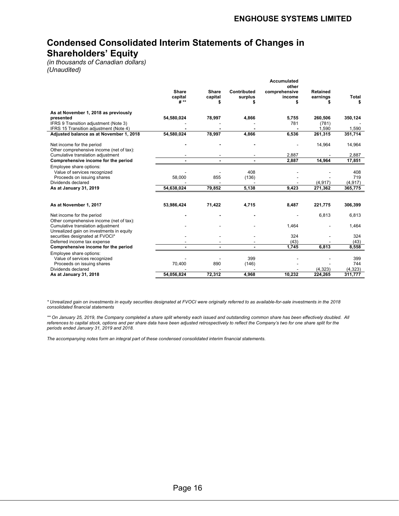# **Condensed Consolidated Interim Statements of Changes in Shareholders' Equity**

*(in thousands of Canadian dollars) (Unaudited)*

|                                                                                   |                                 |                         |                        | Accumulated<br>other    |                      |                  |
|-----------------------------------------------------------------------------------|---------------------------------|-------------------------|------------------------|-------------------------|----------------------|------------------|
|                                                                                   | <b>Share</b><br>capital<br># ** | <b>Share</b><br>capital | Contributed<br>surplus | comprehensive<br>income | Retained<br>earnings | Total<br>\$      |
| As at November 1, 2018 as previously                                              |                                 |                         |                        |                         |                      |                  |
| presented                                                                         | 54,580,024                      | 78,997                  | 4,866                  | 5,755                   | 260,506              | 350,124          |
| IFRS 9 Transition adjustment (Note 3)                                             |                                 |                         |                        | 781                     | (781)                |                  |
| IFRS 15 Transition adjustment (Note 4)<br>Adjusted balance as at November 1, 2018 | 54,580,024                      | 78,997                  | 4,866                  | 6,536                   | 1,590<br>261,315     | 1,590<br>351,714 |
|                                                                                   |                                 |                         |                        |                         |                      |                  |
| Net income for the period<br>Other comprehensive income (net of tax):             |                                 |                         |                        |                         | 14,964               | 14,964           |
| Cumulative translation adjustment                                                 |                                 |                         |                        | 2,887                   |                      | 2,887            |
| Comprehensive income for the period                                               |                                 |                         |                        | 2,887                   | 14,964               | 17,851           |
| Employee share options:                                                           |                                 |                         |                        |                         |                      |                  |
| Value of services recognized                                                      |                                 |                         | 408                    |                         |                      | 408              |
| Proceeds on issuing shares                                                        | 58,000                          | 855                     | (136)                  |                         |                      | 719              |
| Dividends declared                                                                |                                 |                         |                        | 9,423                   | (4, 917)             | (4, 917)         |
| As at January 31, 2019                                                            | 54,638,024                      | 79,852                  | 5,138                  |                         | 271,362              | 365,775          |
|                                                                                   |                                 |                         |                        |                         |                      |                  |
| As at November 1, 2017                                                            | 53,986,424                      | 71,422                  | 4,715                  | 8,487                   | 221,775              | 306,399          |
| Net income for the period                                                         |                                 |                         |                        |                         | 6,813                | 6,813            |
| Other comprehensive income (net of tax):<br>Cumulative translation adjustment     |                                 |                         |                        | 1,464                   |                      | 1,464            |
| Unrealized gain on investments in equity<br>securities designated at FVOCI*       |                                 |                         |                        | 324                     |                      | 324              |
| Deferred income tax expense                                                       |                                 |                         |                        | (43)                    |                      | (43)             |
| Comprehensive income for the period                                               |                                 |                         |                        | 1,745                   | 6,813                | 8,558            |
| Employee share options:                                                           |                                 |                         |                        |                         |                      |                  |
| Value of services recognized                                                      |                                 |                         | 399                    |                         |                      | 399              |
| Proceeds on issuing shares                                                        | 70,400                          | 890                     | (146)                  |                         |                      | 744              |
| Dividends declared                                                                |                                 |                         |                        |                         | (4, 323)             | (4, 323)         |
| As at January 31, 2018                                                            | 54.056.824                      | 72,312                  | 4.968                  | 10,232                  | 224,265              | 311.777          |

*\* Unrealized gain on investments in equity securities designated at FVOCI were originally referred to as available-for-sale investments in the 2018 consolidated financial statements*

*\*\* On January 25, 2019, the Company completed a share split whereby each issued and outstanding common share has been effectively doubled. All references to capital stock, options and per share data have been adjusted retrospectively to reflect the Company's two for one share split for the periods ended January 31, 2019 and 2018.*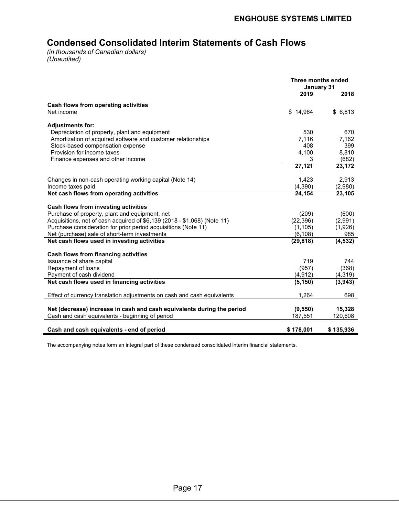# **Condensed Consolidated Interim Statements of Cash Flows**

*(in thousands of Canadian dollars) (Unaudited)*

l.

|                                                                          | Three months ended<br>January 31 |           |
|--------------------------------------------------------------------------|----------------------------------|-----------|
|                                                                          | 2019                             | 2018      |
| Cash flows from operating activities                                     |                                  |           |
| Net income                                                               | \$14,964                         | \$6,813   |
| <b>Adjustments for:</b>                                                  |                                  |           |
| Depreciation of property, plant and equipment                            | 530                              | 670       |
| Amortization of acquired software and customer relationships             | 7.116                            | 7,162     |
| Stock-based compensation expense                                         | 408                              | 399       |
| Provision for income taxes                                               | 4,100                            | 8,810     |
| Finance expenses and other income                                        | 3                                | (682)     |
|                                                                          | 27,121                           | 23,172    |
| Changes in non-cash operating working capital (Note 14)                  | 1,423                            | 2,913     |
| Income taxes paid                                                        | (4,390)                          | (2,980)   |
| Net cash flows from operating activities                                 | 24,154                           | 23,105    |
| Cash flows from investing activities                                     |                                  |           |
| Purchase of property, plant and equipment, net                           | (209)                            | (600)     |
| Acquisitions, net of cash acquired of \$6,139 (2018 - \$1,068) (Note 11) | (22, 396)                        | (2,991)   |
| Purchase consideration for prior period acquisitions (Note 11)           | (1, 105)                         | (1,926)   |
| Net (purchase) sale of short-term investments                            | (6, 108)                         | 985       |
| Net cash flows used in investing activities                              | (29, 818)                        | (4, 532)  |
| <b>Cash flows from financing activities</b>                              |                                  |           |
| Issuance of share capital                                                | 719                              | 744       |
| Repayment of loans                                                       | (957)                            | (368)     |
| Payment of cash dividend                                                 | (4, 912)                         | (4,319)   |
| Net cash flows used in financing activities                              | (5, 150)                         | (3,943)   |
| Effect of currency translation adjustments on cash and cash equivalents  | 1,264                            | 698       |
| Net (decrease) increase in cash and cash equivalents during the period   | (9,550)                          | 15,328    |
| Cash and cash equivalents - beginning of period                          | 187,551                          | 120,608   |
|                                                                          |                                  |           |
| Cash and cash equivalents - end of period                                | \$178,001                        | \$135,936 |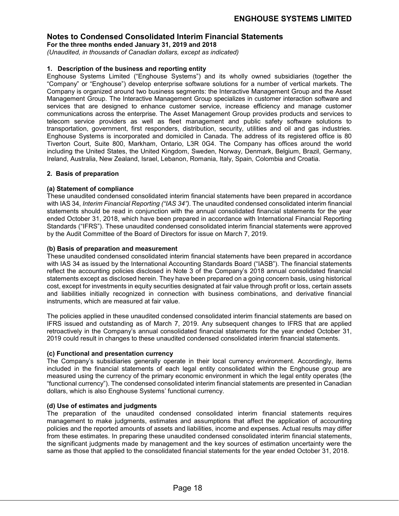**For the three months ended January 31, 2019 and 2018**

*(Unaudited, in thousands of Canadian dollars, except as indicated)*

### **1. Description of the business and reporting entity**

Enghouse Systems Limited ("Enghouse Systems") and its wholly owned subsidiaries (together the "Company" or "Enghouse") develop enterprise software solutions for a number of vertical markets. The Company is organized around two business segments: the Interactive Management Group and the Asset Management Group. The Interactive Management Group specializes in customer interaction software and services that are designed to enhance customer service, increase efficiency and manage customer communications across the enterprise. The Asset Management Group provides products and services to telecom service providers as well as fleet management and public safety software solutions to transportation, government, first responders, distribution, security, utilities and oil and gas industries. Enghouse Systems is incorporated and domiciled in Canada. The address of its registered office is 80 Tiverton Court, Suite 800, Markham, Ontario, L3R 0G4. The Company has offices around the world including the United States, the United Kingdom, Sweden, Norway, Denmark, Belgium, Brazil, Germany, Ireland, Australia, New Zealand, Israel, Lebanon, Romania, Italy, Spain, Colombia and Croatia.

### **2. Basis of preparation**

### **(a) Statement of compliance**

These unaudited condensed consolidated interim financial statements have been prepared in accordance with IAS 34, *Interim Financial Reporting ("IAS 34")*. The unaudited condensed consolidated interim financial statements should be read in conjunction with the annual consolidated financial statements for the year ended October 31, 2018, which have been prepared in accordance with International Financial Reporting Standards ("IFRS"). These unaudited condensed consolidated interim financial statements were approved by the Audit Committee of the Board of Directors for issue on March 7, 2019.

### **(b) Basis of preparation and measurement**

These unaudited condensed consolidated interim financial statements have been prepared in accordance with IAS 34 as issued by the International Accounting Standards Board ("IASB"). The financial statements reflect the accounting policies disclosed in Note 3 of the Company's 2018 annual consolidated financial statements except as disclosed herein. They have been prepared on a going concern basis, using historical cost, except for investments in equity securities designated at fair value through profit or loss, certain assets and liabilities initially recognized in connection with business combinations, and derivative financial instruments, which are measured at fair value.

The policies applied in these unaudited condensed consolidated interim financial statements are based on IFRS issued and outstanding as of March 7, 2019. Any subsequent changes to IFRS that are applied retroactively in the Company's annual consolidated financial statements for the year ended October 31, 2019 could result in changes to these unaudited condensed consolidated interim financial statements.

### **(c) Functional and presentation currency**

The Company's subsidiaries generally operate in their local currency environment. Accordingly, items included in the financial statements of each legal entity consolidated within the Enghouse group are measured using the currency of the primary economic environment in which the legal entity operates (the "functional currency"). The condensed consolidated interim financial statements are presented in Canadian dollars, which is also Enghouse Systems' functional currency.

### **(d) Use of estimates and judgments**

The preparation of the unaudited condensed consolidated interim financial statements requires management to make judgments, estimates and assumptions that affect the application of accounting policies and the reported amounts of assets and liabilities, income and expenses. Actual results may differ from these estimates. In preparing these unaudited condensed consolidated interim financial statements, the significant judgments made by management and the key sources of estimation uncertainty were the same as those that applied to the consolidated financial statements for the year ended October 31, 2018.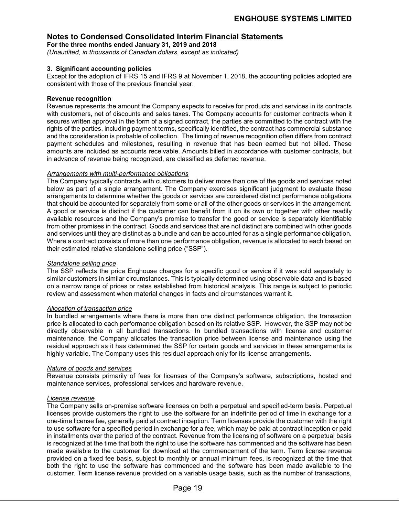**For the three months ended January 31, 2019 and 2018**

*(Unaudited, in thousands of Canadian dollars, except as indicated)*

### **3. Significant accounting policies**

Except for the adoption of IFRS 15 and IFRS 9 at November 1, 2018, the accounting policies adopted are consistent with those of the previous financial year.

### **Revenue recognition**

Revenue represents the amount the Company expects to receive for products and services in its contracts with customers, net of discounts and sales taxes. The Company accounts for customer contracts when it secures written approval in the form of a signed contract, the parties are committed to the contract with the rights of the parties, including payment terms, specifically identified, the contract has commercial substance and the consideration is probable of collection. The timing of revenue recognition often differs from contract payment schedules and milestones, resulting in revenue that has been earned but not billed. These amounts are included as accounts receivable. Amounts billed in accordance with customer contracts, but in advance of revenue being recognized, are classified as deferred revenue.

### *Arrangements with multi-performance obligations*

The Company typically contracts with customers to deliver more than one of the goods and services noted below as part of a single arrangement. The Company exercises significant judgment to evaluate these arrangements to determine whether the goods or services are considered distinct performance obligations that should be accounted for separately from some or all of the other goods or services in the arrangement. A good or service is distinct if the customer can benefit from it on its own or together with other readily available resources and the Company's promise to transfer the good or service is separately identifiable from other promises in the contract. Goods and services that are not distinct are combined with other goods and services until they are distinct as a bundle and can be accounted for as a single performance obligation. Where a contract consists of more than one performance obligation, revenue is allocated to each based on their estimated relative standalone selling price ("SSP").

### *Standalone selling price*

The SSP reflects the price Enghouse charges for a specific good or service if it was sold separately to similar customers in similar circumstances. This is typically determined using observable data and is based on a narrow range of prices or rates established from historical analysis. This range is subject to periodic review and assessment when material changes in facts and circumstances warrant it.

### *Allocation of transaction price*

In bundled arrangements where there is more than one distinct performance obligation, the transaction price is allocated to each performance obligation based on its relative SSP. However, the SSP may not be directly observable in all bundled transactions. In bundled transactions with license and customer maintenance, the Company allocates the transaction price between license and maintenance using the residual approach as it has determined the SSP for certain goods and services in these arrangements is highly variable. The Company uses this residual approach only for its license arrangements.

### *Nature of goods and services*

Revenue consists primarily of fees for licenses of the Company's software, subscriptions, hosted and maintenance services, professional services and hardware revenue.

### *License revenue*

The Company sells on-premise software licenses on both a perpetual and specified-term basis. Perpetual licenses provide customers the right to use the software for an indefinite period of time in exchange for a one-time license fee, generally paid at contract inception. Term licenses provide the customer with the right to use software for a specified period in exchange for a fee, which may be paid at contract inception or paid in installments over the period of the contract. Revenue from the licensing of software on a perpetual basis is recognized at the time that both the right to use the software has commenced and the software has been made available to the customer for download at the commencement of the term. Term license revenue provided on a fixed fee basis, subject to monthly or annual minimum fees, is recognized at the time that both the right to use the software has commenced and the software has been made available to the customer. Term license revenue provided on a variable usage basis, such as the number of transactions,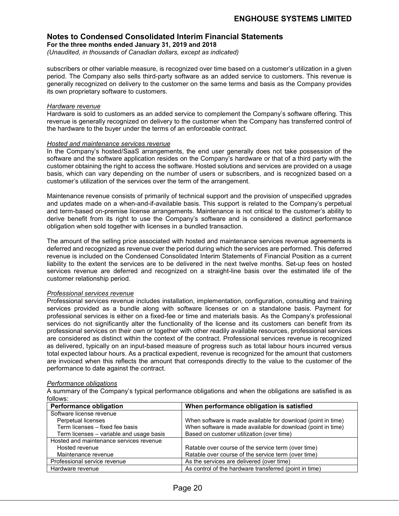**For the three months ended January 31, 2019 and 2018**

*(Unaudited, in thousands of Canadian dollars, except as indicated)*

subscribers or other variable measure, is recognized over time based on a customer's utilization in a given period. The Company also sells third-party software as an added service to customers. This revenue is generally recognized on delivery to the customer on the same terms and basis as the Company provides its own proprietary software to customers.

### *Hardware revenue*

Hardware is sold to customers as an added service to complement the Company's software offering. This revenue is generally recognized on delivery to the customer when the Company has transferred control of the hardware to the buyer under the terms of an enforceable contract.

### *Hosted and maintenance services revenue*

In the Company's hosted/SaaS arrangements, the end user generally does not take possession of the software and the software application resides on the Company's hardware or that of a third party with the customer obtaining the right to access the software. Hosted solutions and services are provided on a usage basis, which can vary depending on the number of users or subscribers, and is recognized based on a customer's utilization of the services over the term of the arrangement.

Maintenance revenue consists of primarily of technical support and the provision of unspecified upgrades and updates made on a when-and-if-available basis. This support is related to the Company's perpetual and term-based on-premise license arrangements. Maintenance is not critical to the customer's ability to derive benefit from its right to use the Company's software and is considered a distinct performance obligation when sold together with licenses in a bundled transaction.

The amount of the selling price associated with hosted and maintenance services revenue agreements is deferred and recognized as revenue over the period during which the services are performed. This deferred revenue is included on the Condensed Consolidated Interim Statements of Financial Position as a current liability to the extent the services are to be delivered in the next twelve months. Set-up fees on hosted services revenue are deferred and recognized on a straight-line basis over the estimated life of the customer relationship period.

### *Professional services revenue*

Professional services revenue includes installation, implementation, configuration, consulting and training services provided as a bundle along with software licenses or on a standalone basis. Payment for professional services is either on a fixed-fee or time and materials basis. As the Company's professional services do not significantly alter the functionality of the license and its customers can benefit from its professional services on their own or together with other readily available resources, professional services are considered as distinct within the context of the contract. Professional services revenue is recognized as delivered, typically on an input-based measure of progress such as total labour hours incurred versus total expected labour hours. As a practical expedient, revenue is recognized for the amount that customers are invoiced when this reflects the amount that corresponds directly to the value to the customer of the performance to date against the contract.

### *Performance obligations*

A summary of the Company's typical performance obligations and when the obligations are satisfied is as follows:

| <b>Performance obligation</b>            | When performance obligation is satisfied                     |  |  |  |
|------------------------------------------|--------------------------------------------------------------|--|--|--|
| Software license revenue                 |                                                              |  |  |  |
| Perpetual licenses                       | When software is made available for download (point in time) |  |  |  |
| Term licenses - fixed fee basis          | When software is made available for download (point in time) |  |  |  |
| Term licenses – variable and usage basis | Based on customer utilization (over time)                    |  |  |  |
| Hosted and maintenance services revenue  |                                                              |  |  |  |
| Hosted revenue                           | Ratable over course of the service term (over time)          |  |  |  |
| Maintenance revenue                      | Ratable over course of the service term (over time)          |  |  |  |
| Professional service revenue             | As the services are delivered (over time)                    |  |  |  |
| Hardware revenue                         | As control of the hardware transferred (point in time)       |  |  |  |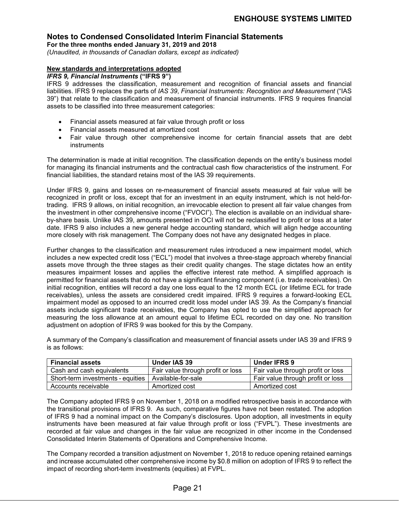**For the three months ended January 31, 2019 and 2018**

*(Unaudited, in thousands of Canadian dollars, except as indicated)*

### **New standards and interpretations adopted**

### *IFRS 9, Financial Instruments* **("IFRS 9")**

IFRS 9 addresses the classification, measurement and recognition of financial assets and financial liabilities. IFRS 9 replaces the parts of *IAS 39*, *Financial Instruments: Recognition and Measurement* ("IAS 39") that relate to the classification and measurement of financial instruments. IFRS 9 requires financial assets to be classified into three measurement categories:

- Financial assets measured at fair value through profit or loss
- Financial assets measured at amortized cost
- Fair value through other comprehensive income for certain financial assets that are debt instruments

The determination is made at initial recognition. The classification depends on the entity's business model for managing its financial instruments and the contractual cash flow characteristics of the instrument. For financial liabilities, the standard retains most of the IAS 39 requirements.

Under IFRS 9, gains and losses on re-measurement of financial assets measured at fair value will be recognized in profit or loss, except that for an investment in an equity instrument, which is not held-fortrading. IFRS 9 allows, on initial recognition, an irrevocable election to present all fair value changes from the investment in other comprehensive income ("FVOCI"). The election is available on an individual shareby-share basis. Unlike IAS 39, amounts presented in OCI will not be reclassified to profit or loss at a later date. IFRS 9 also includes a new general hedge accounting standard, which will align hedge accounting more closely with risk management. The Company does not have any designated hedges in place.

Further changes to the classification and measurement rules introduced a new impairment model, which includes a new expected credit loss ("ECL") model that involves a three-stage approach whereby financial assets move through the three stages as their credit quality changes. The stage dictates how an entity measures impairment losses and applies the effective interest rate method. A simplified approach is permitted for financial assets that do not have a significant financing component (i.e. trade receivables). On initial recognition, entities will record a day one loss equal to the 12 month ECL (or lifetime ECL for trade receivables), unless the assets are considered credit impaired. IFRS 9 requires a forward-looking ECL impairment model as opposed to an incurred credit loss model under IAS 39. As the Company's financial assets include significant trade receivables, the Company has opted to use the simplified approach for measuring the loss allowance at an amount equal to lifetime ECL recorded on day one. No transition adjustment on adoption of IFRS 9 was booked for this by the Company.

A summary of the Company's classification and measurement of financial assets under IAS 39 and IFRS 9 is as follows:

| <b>Financial assets</b>           | Under IAS 39                      | Under IFRS 9                      |
|-----------------------------------|-----------------------------------|-----------------------------------|
| Cash and cash equivalents         | Fair value through profit or loss | Fair value through profit or loss |
| Short-term investments - equities | Available-for-sale                | Fair value through profit or loss |
| Accounts receivable               | Amortized cost                    | Amortized cost                    |

The Company adopted IFRS 9 on November 1, 2018 on a modified retrospective basis in accordance with the transitional provisions of IFRS 9. As such, comparative figures have not been restated. The adoption of IFRS 9 had a nominal impact on the Company's disclosures. Upon adoption, all investments in equity instruments have been measured at fair value through profit or loss ("FVPL"). These investments are recorded at fair value and changes in the fair value are recognized in other income in the Condensed Consolidated Interim Statements of Operations and Comprehensive Income.

The Company recorded a transition adjustment on November 1, 2018 to reduce opening retained earnings and increase accumulated other comprehensive income by \$0.8 million on adoption of IFRS 9 to reflect the impact of recording short-term investments (equities) at FVPL.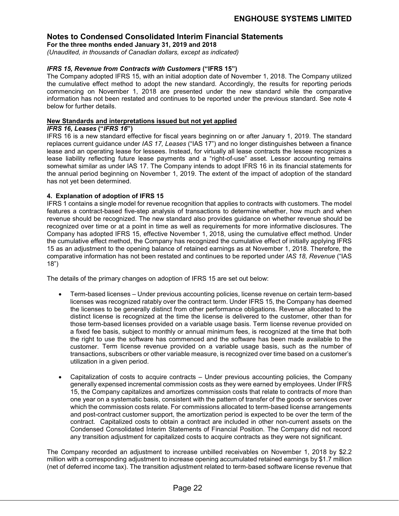**For the three months ended January 31, 2019 and 2018**

*(Unaudited, in thousands of Canadian dollars, except as indicated)*

### *IFRS 15, Revenue from Contracts with Customers* **("IFRS 15")**

The Company adopted IFRS 15, with an initial adoption date of November 1, 2018. The Company utilized the cumulative effect method to adopt the new standard. Accordingly, the results for reporting periods commencing on November 1, 2018 are presented under the new standard while the comparative information has not been restated and continues to be reported under the previous standard. See note 4 below for further details.

### **New Standards and interpretations issued but not yet applied**

### *IFRS 16, Leases* **("***IFRS 16***")**

IFRS 16 is a new standard effective for fiscal years beginning on or after January 1, 2019. The standard replaces current guidance under *IAS 17, Leases* ("IAS 17") and no longer distinguishes between a finance lease and an operating lease for lessees. Instead, for virtually all lease contracts the lessee recognizes a lease liability reflecting future lease payments and a "right-of-use" asset. Lessor accounting remains somewhat similar as under IAS 17. The Company intends to adopt IFRS 16 in its financial statements for the annual period beginning on November 1, 2019. The extent of the impact of adoption of the standard has not yet been determined.

### **4. Explanation of adoption of IFRS 15**

IFRS 1 contains a single model for revenue recognition that applies to contracts with customers. The model features a contract-based five-step analysis of transactions to determine whether, how much and when revenue should be recognized. The new standard also provides guidance on whether revenue should be recognized over time or at a point in time as well as requirements for more informative disclosures. The Company has adopted IFRS 15, effective November 1, 2018, using the cumulative effect method. Under the cumulative effect method, the Company has recognized the cumulative effect of initially applying IFRS 15 as an adjustment to the opening balance of retained earnings as at November 1, 2018. Therefore, the comparative information has not been restated and continues to be reported under *IAS 18, Revenue* ("IAS 18")

The details of the primary changes on adoption of IFRS 15 are set out below:

- Term-based licenses Under previous accounting policies, license revenue on certain term-based licenses was recognized ratably over the contract term. Under IFRS 15, the Company has deemed the licenses to be generally distinct from other performance obligations. Revenue allocated to the distinct license is recognized at the time the license is delivered to the customer, other than for those term-based licenses provided on a variable usage basis. Term license revenue provided on a fixed fee basis, subject to monthly or annual minimum fees, is recognized at the time that both the right to use the software has commenced and the software has been made available to the customer. Term license revenue provided on a variable usage basis, such as the number of transactions, subscribers or other variable measure, is recognized over time based on a customer's utilization in a given period.
- Capitalization of costs to acquire contracts Under previous accounting policies, the Company generally expensed incremental commission costs as they were earned by employees. Under IFRS 15, the Company capitalizes and amortizes commission costs that relate to contracts of more than one year on a systematic basis, consistent with the pattern of transfer of the goods or services over which the commission costs relate. For commissions allocated to term-based license arrangements and post-contract customer support, the amortization period is expected to be over the term of the contract. Capitalized costs to obtain a contract are included in other non-current assets on the Condensed Consolidated Interim Statements of Financial Position. The Company did not record any transition adjustment for capitalized costs to acquire contracts as they were not significant.

The Company recorded an adjustment to increase unbilled receivables on November 1, 2018 by \$2.2 million with a corresponding adjustment to increase opening accumulated retained earnings by \$1.7 million (net of deferred income tax). The transition adjustment related to term-based software license revenue that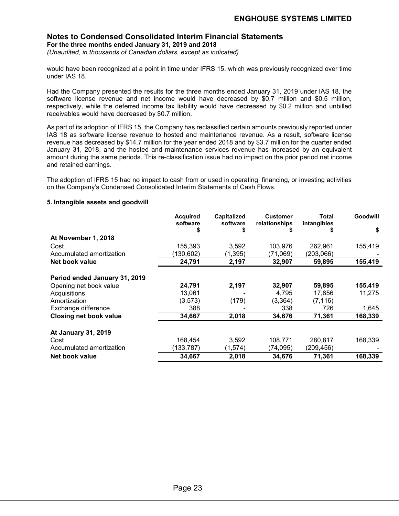### **Notes to Condensed Consolidated Interim Financial Statements For the three months ended January 31, 2019 and 2018**

*(Unaudited, in thousands of Canadian dollars, except as indicated)*

would have been recognized at a point in time under IFRS 15, which was previously recognized over time under IAS 18.

Had the Company presented the results for the three months ended January 31, 2019 under IAS 18, the software license revenue and net income would have decreased by \$0.7 million and \$0.5 million, respectively, while the deferred income tax liability would have decreased by \$0.2 million and unbilled receivables would have decreased by \$0.7 million.

As part of its adoption of IFRS 15, the Company has reclassified certain amounts previously reported under IAS 18 as software license revenue to hosted and maintenance revenue. As a result, software license revenue has decreased by \$14.7 million for the year ended 2018 and by \$3.7 million for the quarter ended January 31, 2018, and the hosted and maintenance services revenue has increased by an equivalent amount during the same periods. This re-classification issue had no impact on the prior period net income and retained earnings.

The adoption of IFRS 15 had no impact to cash from or used in operating, financing, or investing activities on the Company's Condensed Consolidated Interim Statements of Cash Flows.

### **5. Intangible assets and goodwill**

|                               | <b>Acquired</b><br>software | <b>Capitalized</b><br>software | <b>Customer</b><br>relationships | Total<br>intangibles | Goodwill |
|-------------------------------|-----------------------------|--------------------------------|----------------------------------|----------------------|----------|
|                               | S                           | S                              |                                  |                      | \$       |
| At November 1, 2018           |                             |                                |                                  |                      |          |
| Cost                          | 155,393                     | 3,592                          | 103,976                          | 262,961              | 155,419  |
| Accumulated amortization      | (130,602)                   | (1, 395)                       | (71,069)                         | (203,066)            |          |
| Net book value                | 24,791                      | 2,197                          | 32,907                           | 59,895               | 155,419  |
| Period ended January 31, 2019 |                             |                                |                                  |                      |          |
| Opening net book value        | 24,791                      | 2,197                          | 32,907                           | 59,895               | 155,419  |
| Acquisitions                  | 13,061                      |                                | 4,795                            | 17,856               | 11,275   |
| Amortization                  | (3,573)                     | (179)                          | (3, 364)                         | (7, 116)             |          |
| Exchange difference           | 388                         |                                | 338                              | 726                  | 1,645    |
| <b>Closing net book value</b> | 34,667                      | 2,018                          | 34,676                           | 71,361               | 168,339  |
| <b>At January 31, 2019</b>    |                             |                                |                                  |                      |          |
| Cost                          | 168,454                     | 3,592                          | 108.771                          | 280,817              | 168,339  |
| Accumulated amortization      | (133,787)                   | (1,574)                        | (74,095)                         | (209, 456)           |          |
| Net book value                | 34,667                      | 2,018                          | 34,676                           | 71,361               | 168,339  |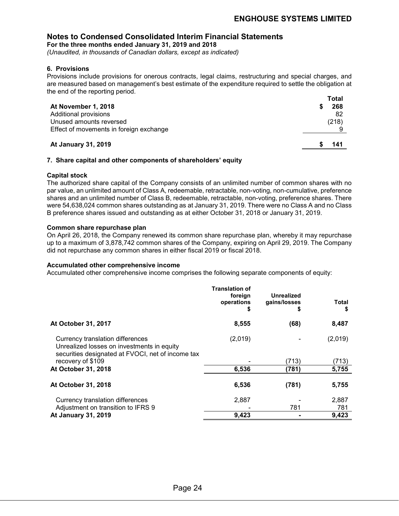**For the three months ended January 31, 2019 and 2018**

*(Unaudited, in thousands of Canadian dollars, except as indicated)*

### **6. Provisions**

Provisions include provisions for onerous contracts, legal claims, restructuring and special charges, and are measured based on management's best estimate of the expenditure required to settle the obligation at the end of the reporting period.

|                                         | Total |
|-----------------------------------------|-------|
| At November 1, 2018                     | 268   |
| Additional provisions                   | -82   |
| Unused amounts reversed                 | (218) |
| Effect of movements in foreign exchange |       |
| <b>At January 31, 2019</b>              | 141   |

### **7. Share capital and other components of shareholders' equity**

### **Capital stock**

The authorized share capital of the Company consists of an unlimited number of common shares with no par value, an unlimited amount of Class A, redeemable, retractable, non-voting, non-cumulative, preference shares and an unlimited number of Class B, redeemable, retractable, non-voting, preference shares. There were 54,638,024 common shares outstanding as at January 31, 2019. There were no Class A and no Class B preference shares issued and outstanding as at either October 31, 2018 or January 31, 2019.

### **Common share repurchase plan**

On April 26, 2018, the Company renewed its common share repurchase plan, whereby it may repurchase up to a maximum of 3,878,742 common shares of the Company, expiring on April 29, 2019. The Company did not repurchase any common shares in either fiscal 2019 or fiscal 2018.

### **Accumulated other comprehensive income**

Accumulated other comprehensive income comprises the following separate components of equity:

|                                                                                                                                     | <b>Translation of</b><br>foreign<br>operations<br>\$ | <b>Unrealized</b><br>gains/losses<br>æ. | Total<br>S |
|-------------------------------------------------------------------------------------------------------------------------------------|------------------------------------------------------|-----------------------------------------|------------|
| At October 31, 2017                                                                                                                 | 8,555                                                | (68)                                    | 8,487      |
| Currency translation differences<br>Unrealized losses on investments in equity<br>securities designated at FVOCI, net of income tax | (2,019)                                              |                                         | (2,019)    |
| recovery of \$109                                                                                                                   |                                                      | (713)                                   | (713)      |
| At October 31, 2018                                                                                                                 | 6,536                                                | (781)                                   | 5,755      |
| At October 31, 2018                                                                                                                 | 6,536                                                | (781)                                   | 5,755      |
| Currency translation differences                                                                                                    | 2,887                                                |                                         | 2,887      |
| Adjustment on transition to IFRS 9                                                                                                  |                                                      | 781                                     | 781        |
| At January 31, 2019                                                                                                                 | 9,423                                                |                                         | 9,423      |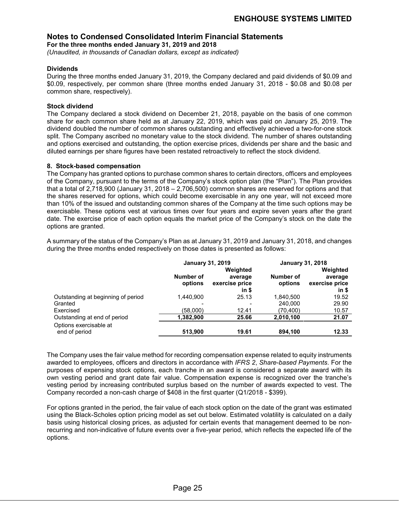**For the three months ended January 31, 2019 and 2018**

*(Unaudited, in thousands of Canadian dollars, except as indicated)*

### **Dividends**

During the three months ended January 31, 2019, the Company declared and paid dividends of \$0.09 and \$0.09, respectively, per common share (three months ended January 31, 2018 - \$0.08 and \$0.08 per common share, respectively).

### **Stock dividend**

The Company declared a stock dividend on December 21, 2018, payable on the basis of one common share for each common share held as at January 22, 2019, which was paid on January 25, 2019. The dividend doubled the number of common shares outstanding and effectively achieved a two-for-one stock split. The Company ascribed no monetary value to the stock dividend. The number of shares outstanding and options exercised and outstanding, the option exercise prices, dividends per share and the basic and diluted earnings per share figures have been restated retroactively to reflect the stock dividend.

### **8. Stock-based compensation**

The Company has granted options to purchase common shares to certain directors, officers and employees of the Company, pursuant to the terms of the Company's stock option plan (the "Plan"). The Plan provides that a total of 2,718,900 (January 31, 2018 – 2,706,500) common shares are reserved for options and that the shares reserved for options, which could become exercisable in any one year, will not exceed more than 10% of the issued and outstanding common shares of the Company at the time such options may be exercisable. These options vest at various times over four years and expire seven years after the grant date. The exercise price of each option equals the market price of the Company's stock on the date the options are granted.

A summary of the status of the Company's Plan as at January 31, 2019 and January 31, 2018, and changes during the three months ended respectively on those dates is presented as follows:

|                                    | <b>January 31, 2019</b> |                | <b>January 31, 2018</b> |                |
|------------------------------------|-------------------------|----------------|-------------------------|----------------|
|                                    |                         | Weighted       |                         | Weighted       |
|                                    | Number of               | average        | Number of               | average        |
|                                    | options                 | exercise price | options                 | exercise price |
|                                    |                         | in \$          |                         | in \$          |
| Outstanding at beginning of period | 1.440.900               | 25.13          | 1.840.500               | 19.52          |
| Granted                            |                         |                | 240,000                 | 29.90          |
| Exercised                          | (58,000)                | 12.41          | (70, 400)               | 10.57          |
| Outstanding at end of period       | 1,382,900               | 25.66          | 2,010,100               | 21.07          |
| Options exercisable at             |                         |                |                         |                |
| end of period                      | 513.900                 | 19.61          | 894,100                 | 12.33          |

The Company uses the fair value method for recording compensation expense related to equity instruments awarded to employees, officers and directors in accordance with *IFRS 2*, *Share-based Payments*. For the purposes of expensing stock options, each tranche in an award is considered a separate award with its own vesting period and grant date fair value. Compensation expense is recognized over the tranche's vesting period by increasing contributed surplus based on the number of awards expected to vest. The Company recorded a non-cash charge of \$408 in the first quarter (Q1/2018 - \$399).

For options granted in the period, the fair value of each stock option on the date of the grant was estimated using the Black-Scholes option pricing model as set out below. Estimated volatility is calculated on a daily basis using historical closing prices, as adjusted for certain events that management deemed to be nonrecurring and non-indicative of future events over a five-year period, which reflects the expected life of the options.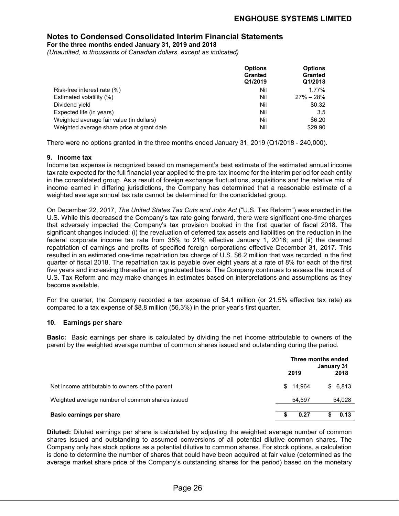**For the three months ended January 31, 2019 and 2018**

*(Unaudited, in thousands of Canadian dollars, except as indicated)*

|                                            | <b>Options</b><br><b>Granted</b><br>Q1/2019 | <b>Options</b><br><b>Granted</b><br>Q1/2018 |
|--------------------------------------------|---------------------------------------------|---------------------------------------------|
| Risk-free interest rate (%)                | Nil                                         | 1.77%                                       |
| Estimated volatility (%)                   | Nil                                         | $27\% - 28\%$                               |
| Dividend yield                             | Nil                                         | \$0.32                                      |
| Expected life (in years)                   | Nil                                         | 3.5                                         |
| Weighted average fair value (in dollars)   | Nil                                         | \$6.20                                      |
| Weighted average share price at grant date | Nil                                         | \$29.90                                     |

There were no options granted in the three months ended January 31, 2019 (Q1/2018 - 240,000).

### **9. Income tax**

Income tax expense is recognized based on management's best estimate of the estimated annual income tax rate expected for the full financial year applied to the pre-tax income for the interim period for each entity in the consolidated group. As a result of foreign exchange fluctuations, acquisitions and the relative mix of income earned in differing jurisdictions, the Company has determined that a reasonable estimate of a weighted average annual tax rate cannot be determined for the consolidated group.

On December 22, 2017, *The United States Tax Cuts and Jobs Act* ("U.S. Tax Reform") was enacted in the U.S. While this decreased the Company's tax rate going forward, there were significant one-time charges that adversely impacted the Company's tax provision booked in the first quarter of fiscal 2018. The significant changes included: (i) the revaluation of deferred tax assets and liabilities on the reduction in the federal corporate income tax rate from 35% to 21% effective January 1, 2018; and (ii) the deemed repatriation of earnings and profits of specified foreign corporations effective December 31, 2017. This resulted in an estimated one-time repatriation tax charge of U.S. \$6.2 million that was recorded in the first quarter of fiscal 2018. The repatriation tax is payable over eight years at a rate of 8% for each of the first five years and increasing thereafter on a graduated basis. The Company continues to assess the impact of U.S. Tax Reform and may make changes in estimates based on interpretations and assumptions as they become available.

For the quarter, the Company recorded a tax expense of \$4.1 million (or 21.5% effective tax rate) as compared to a tax expense of \$8.8 million (56.3%) in the prior year's first quarter.

### **10. Earnings per share**

**Basic:** Basic earnings per share is calculated by dividing the net income attributable to owners of the parent by the weighted average number of common shares issued and outstanding during the period.

|                                                 | 2019     | Three months ended<br>January 31<br>2018 |
|-------------------------------------------------|----------|------------------------------------------|
| Net income attributable to owners of the parent | \$14.964 | \$6,813                                  |
| Weighted average number of common shares issued | 54.597   | 54,028                                   |
| <b>Basic earnings per share</b>                 | 0.27     | 0.13                                     |

**Diluted:** Diluted earnings per share is calculated by adjusting the weighted average number of common shares issued and outstanding to assumed conversions of all potential dilutive common shares. The Company only has stock options as a potential dilutive to common shares. For stock options, a calculation is done to determine the number of shares that could have been acquired at fair value (determined as the average market share price of the Company's outstanding shares for the period) based on the monetary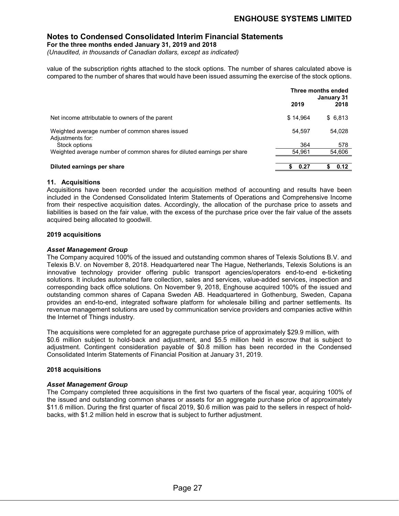**For the three months ended January 31, 2019 and 2018**

*(Unaudited, in thousands of Canadian dollars, except as indicated)*

value of the subscription rights attached to the stock options. The number of shares calculated above is compared to the number of shares that would have been issued assuming the exercise of the stock options.

|                                                                         | Three months ended<br>January 31 |         |
|-------------------------------------------------------------------------|----------------------------------|---------|
|                                                                         | 2019                             | 2018    |
| Net income attributable to owners of the parent                         | \$14.964                         | \$6,813 |
| Weighted average number of common shares issued<br>Adjustments for:     | 54.597                           | 54,028  |
| Stock options                                                           | 364                              | 578     |
| Weighted average number of common shares for diluted earnings per share | 54,961                           | 54,606  |
|                                                                         |                                  |         |
| Diluted earnings per share                                              | 0.27                             | 0.12    |

### **11. Acquisitions**

Acquisitions have been recorded under the acquisition method of accounting and results have been included in the Condensed Consolidated Interim Statements of Operations and Comprehensive Income from their respective acquisition dates. Accordingly, the allocation of the purchase price to assets and liabilities is based on the fair value, with the excess of the purchase price over the fair value of the assets acquired being allocated to goodwill.

### **2019 acquisitions**

### *Asset Management Group*

The Company acquired 100% of the issued and outstanding common shares of Telexis Solutions B.V. and Telexis B.V. on November 8, 2018. Headquartered near The Hague, Netherlands, Telexis Solutions is an innovative technology provider offering public transport agencies/operators end-to-end e-ticketing solutions. It includes automated fare collection, sales and services, value-added services, inspection and corresponding back office solutions. On November 9, 2018, Enghouse acquired 100% of the issued and outstanding common shares of Capana Sweden AB. Headquartered in Gothenburg, Sweden, Capana provides an end-to-end, integrated software platform for wholesale billing and partner settlements. Its revenue management solutions are used by communication service providers and companies active within the Internet of Things industry.

The acquisitions were completed for an aggregate purchase price of approximately \$29.9 million, with \$0.6 million subject to hold-back and adjustment, and \$5.5 million held in escrow that is subject to adjustment. Contingent consideration payable of \$0.8 million has been recorded in the Condensed Consolidated Interim Statements of Financial Position at January 31, 2019.

### **2018 acquisitions**

### *Asset Management Group*

The Company completed three acquisitions in the first two quarters of the fiscal year, acquiring 100% of the issued and outstanding common shares or assets for an aggregate purchase price of approximately \$11.6 million. During the first quarter of fiscal 2019, \$0.6 million was paid to the sellers in respect of holdbacks, with \$1.2 million held in escrow that is subject to further adjustment.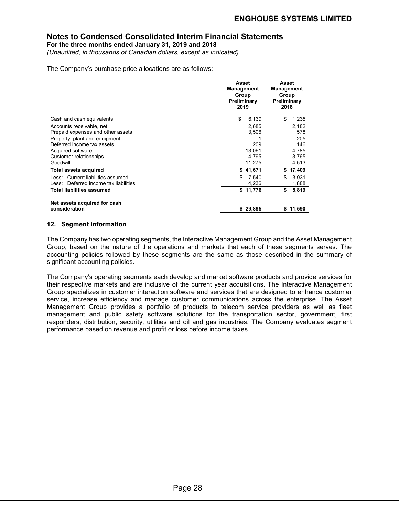**For the three months ended January 31, 2019 and 2018**

*(Unaudited, in thousands of Canadian dollars, except as indicated)*

The Company's purchase price allocations are as follows:

|                                                               | <b>Asset</b><br><b>Management</b><br>Group<br>Preliminary<br>2019 | Asset<br>Management<br>Group<br>Preliminary<br>2018 |
|---------------------------------------------------------------|-------------------------------------------------------------------|-----------------------------------------------------|
| Cash and cash equivalents                                     | \$<br>6,139                                                       | \$<br>1,235                                         |
| Accounts receivable, net<br>Prepaid expenses and other assets | 2.685<br>3,506                                                    | 2,182<br>578                                        |
| Property, plant and equipment                                 |                                                                   | 205                                                 |
| Deferred income tax assets                                    | 209                                                               | 146                                                 |
| Acquired software                                             | 13.061                                                            | 4,785                                               |
| Customer relationships<br>Goodwill                            | 4.795<br>11,275                                                   | 3,765<br>4,513                                      |
| <b>Total assets acquired</b>                                  | \$41,671                                                          | 17,409<br>\$                                        |
| Less: Current liabilities assumed                             | \$.<br>7,540                                                      | \$.<br>3,931                                        |
| Less: Deferred income tax liabilities                         | 4,236                                                             | 1,888                                               |
| <b>Total liabilities assumed</b>                              | \$11,776                                                          | \$<br>5,819                                         |
| Net assets acquired for cash<br>consideration                 | \$29,895                                                          | \$11,590                                            |

### **12. Segment information**

The Company has two operating segments, the Interactive Management Group and the Asset Management Group, based on the nature of the operations and markets that each of these segments serves. The accounting policies followed by these segments are the same as those described in the summary of significant accounting policies.

The Company's operating segments each develop and market software products and provide services for their respective markets and are inclusive of the current year acquisitions. The Interactive Management Group specializes in customer interaction software and services that are designed to enhance customer service, increase efficiency and manage customer communications across the enterprise. The Asset Management Group provides a portfolio of products to telecom service providers as well as fleet management and public safety software solutions for the transportation sector, government, first responders, distribution, security, utilities and oil and gas industries. The Company evaluates segment performance based on revenue and profit or loss before income taxes.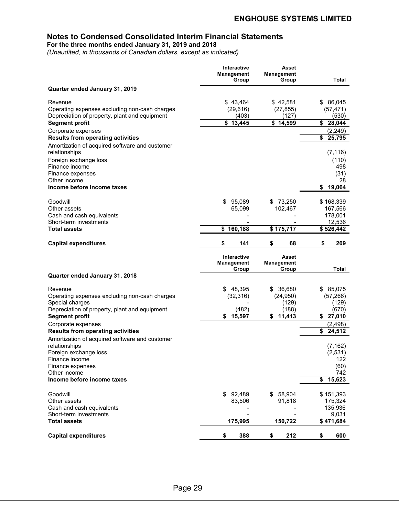**For the three months ended January 31, 2019 and 2018**

*(Unaudited, in thousands of Canadian dollars, except as indicated)*

| Quarter ended January 31, 2019<br>\$43,464<br>\$42,581<br>\$86,045<br>Revenue<br>Operating expenses excluding non-cash charges<br>(27, 855)<br>(29, 616)<br>(57, 471)<br>Depreciation of property, plant and equipment<br>(403)<br>(127)<br>(530)<br>$\sqrt{3,445}$<br>$\overline{\$}$ 14,599<br>\$<br>$\overline{28,044}$<br><b>Segment profit</b><br>(2, 249)<br>Corporate expenses<br>25,795<br><b>Results from operating activities</b><br>\$<br>Amortization of acquired software and customer<br>(7, 116)<br>relationships<br>Foreign exchange loss<br>(110)<br>Finance income<br>498<br>(31)<br>Finance expenses<br>28<br>Other income<br>Income before income taxes<br>19,064<br>\$<br>73,250<br>Goodwill<br>\$<br>95,089<br>\$168,339<br>\$.<br>102,467<br>Other assets<br>65,099<br>167,566<br>Cash and cash equivalents<br>178,001<br>Short-term investments<br>12,536<br>160,188<br>\$175,717<br><b>Total assets</b><br>\$<br>\$526,442<br><b>Capital expenditures</b><br>\$<br>141<br>\$<br>68<br>\$<br>209<br>Interactive<br>Asset<br>Management<br><b>Management</b><br>Total<br>Group<br>Group<br>Quarter ended January 31, 2018<br>\$<br>48,395<br>36,680<br>85,075<br>Revenue<br>S<br>S<br>(32, 316)<br>(24, 950)<br>(57, 266)<br>Operating expenses excluding non-cash charges<br>Special charges<br>(129)<br>(129)<br>Depreciation of property, plant and equipment<br>(482)<br>(188)<br>(670)<br>\$<br>15,597<br>\$<br>11,413<br><b>Segment profit</b><br>\$<br>27,010<br>Corporate expenses<br>(2, 498)<br>\$<br>24,512<br><b>Results from operating activities</b><br>Amortization of acquired software and customer<br>relationships<br>(7.162)<br>Foreign exchange loss<br>(2,531)<br>Finance income<br>122<br>(60)<br>Finance expenses<br>Other income<br>742<br>Income before income taxes<br>15,623<br>\$<br>Goodwill<br>\$92,489<br>\$58,904<br>\$151,393<br>83,506<br>Other assets<br>91,818<br>175,324<br>Cash and cash equivalents<br>135,936<br>Short-term investments<br>9,031<br><b>Total assets</b><br>175,995<br>150,722<br>\$471,684<br>\$<br>388<br>212<br>\$<br>600<br><b>Capital expenditures</b><br>\$ | Interactive<br>Management<br>Group | Asset<br>Management<br>Group | Total |
|--------------------------------------------------------------------------------------------------------------------------------------------------------------------------------------------------------------------------------------------------------------------------------------------------------------------------------------------------------------------------------------------------------------------------------------------------------------------------------------------------------------------------------------------------------------------------------------------------------------------------------------------------------------------------------------------------------------------------------------------------------------------------------------------------------------------------------------------------------------------------------------------------------------------------------------------------------------------------------------------------------------------------------------------------------------------------------------------------------------------------------------------------------------------------------------------------------------------------------------------------------------------------------------------------------------------------------------------------------------------------------------------------------------------------------------------------------------------------------------------------------------------------------------------------------------------------------------------------------------------------------------------------------------------------------------------------------------------------------------------------------------------------------------------------------------------------------------------------------------------------------------------------------------------------------------------------------------------------------------------------------------------------------------------------------------------------------------------------------------------------------------------------|------------------------------------|------------------------------|-------|
|                                                                                                                                                                                                                                                                                                                                                                                                                                                                                                                                                                                                                                                                                                                                                                                                                                                                                                                                                                                                                                                                                                                                                                                                                                                                                                                                                                                                                                                                                                                                                                                                                                                                                                                                                                                                                                                                                                                                                                                                                                                                                                                                                  |                                    |                              |       |
|                                                                                                                                                                                                                                                                                                                                                                                                                                                                                                                                                                                                                                                                                                                                                                                                                                                                                                                                                                                                                                                                                                                                                                                                                                                                                                                                                                                                                                                                                                                                                                                                                                                                                                                                                                                                                                                                                                                                                                                                                                                                                                                                                  |                                    |                              |       |
|                                                                                                                                                                                                                                                                                                                                                                                                                                                                                                                                                                                                                                                                                                                                                                                                                                                                                                                                                                                                                                                                                                                                                                                                                                                                                                                                                                                                                                                                                                                                                                                                                                                                                                                                                                                                                                                                                                                                                                                                                                                                                                                                                  |                                    |                              |       |
|                                                                                                                                                                                                                                                                                                                                                                                                                                                                                                                                                                                                                                                                                                                                                                                                                                                                                                                                                                                                                                                                                                                                                                                                                                                                                                                                                                                                                                                                                                                                                                                                                                                                                                                                                                                                                                                                                                                                                                                                                                                                                                                                                  |                                    |                              |       |
|                                                                                                                                                                                                                                                                                                                                                                                                                                                                                                                                                                                                                                                                                                                                                                                                                                                                                                                                                                                                                                                                                                                                                                                                                                                                                                                                                                                                                                                                                                                                                                                                                                                                                                                                                                                                                                                                                                                                                                                                                                                                                                                                                  |                                    |                              |       |
|                                                                                                                                                                                                                                                                                                                                                                                                                                                                                                                                                                                                                                                                                                                                                                                                                                                                                                                                                                                                                                                                                                                                                                                                                                                                                                                                                                                                                                                                                                                                                                                                                                                                                                                                                                                                                                                                                                                                                                                                                                                                                                                                                  |                                    |                              |       |
|                                                                                                                                                                                                                                                                                                                                                                                                                                                                                                                                                                                                                                                                                                                                                                                                                                                                                                                                                                                                                                                                                                                                                                                                                                                                                                                                                                                                                                                                                                                                                                                                                                                                                                                                                                                                                                                                                                                                                                                                                                                                                                                                                  |                                    |                              |       |
|                                                                                                                                                                                                                                                                                                                                                                                                                                                                                                                                                                                                                                                                                                                                                                                                                                                                                                                                                                                                                                                                                                                                                                                                                                                                                                                                                                                                                                                                                                                                                                                                                                                                                                                                                                                                                                                                                                                                                                                                                                                                                                                                                  |                                    |                              |       |
|                                                                                                                                                                                                                                                                                                                                                                                                                                                                                                                                                                                                                                                                                                                                                                                                                                                                                                                                                                                                                                                                                                                                                                                                                                                                                                                                                                                                                                                                                                                                                                                                                                                                                                                                                                                                                                                                                                                                                                                                                                                                                                                                                  |                                    |                              |       |
|                                                                                                                                                                                                                                                                                                                                                                                                                                                                                                                                                                                                                                                                                                                                                                                                                                                                                                                                                                                                                                                                                                                                                                                                                                                                                                                                                                                                                                                                                                                                                                                                                                                                                                                                                                                                                                                                                                                                                                                                                                                                                                                                                  |                                    |                              |       |
|                                                                                                                                                                                                                                                                                                                                                                                                                                                                                                                                                                                                                                                                                                                                                                                                                                                                                                                                                                                                                                                                                                                                                                                                                                                                                                                                                                                                                                                                                                                                                                                                                                                                                                                                                                                                                                                                                                                                                                                                                                                                                                                                                  |                                    |                              |       |
|                                                                                                                                                                                                                                                                                                                                                                                                                                                                                                                                                                                                                                                                                                                                                                                                                                                                                                                                                                                                                                                                                                                                                                                                                                                                                                                                                                                                                                                                                                                                                                                                                                                                                                                                                                                                                                                                                                                                                                                                                                                                                                                                                  |                                    |                              |       |
|                                                                                                                                                                                                                                                                                                                                                                                                                                                                                                                                                                                                                                                                                                                                                                                                                                                                                                                                                                                                                                                                                                                                                                                                                                                                                                                                                                                                                                                                                                                                                                                                                                                                                                                                                                                                                                                                                                                                                                                                                                                                                                                                                  |                                    |                              |       |
|                                                                                                                                                                                                                                                                                                                                                                                                                                                                                                                                                                                                                                                                                                                                                                                                                                                                                                                                                                                                                                                                                                                                                                                                                                                                                                                                                                                                                                                                                                                                                                                                                                                                                                                                                                                                                                                                                                                                                                                                                                                                                                                                                  |                                    |                              |       |
|                                                                                                                                                                                                                                                                                                                                                                                                                                                                                                                                                                                                                                                                                                                                                                                                                                                                                                                                                                                                                                                                                                                                                                                                                                                                                                                                                                                                                                                                                                                                                                                                                                                                                                                                                                                                                                                                                                                                                                                                                                                                                                                                                  |                                    |                              |       |
|                                                                                                                                                                                                                                                                                                                                                                                                                                                                                                                                                                                                                                                                                                                                                                                                                                                                                                                                                                                                                                                                                                                                                                                                                                                                                                                                                                                                                                                                                                                                                                                                                                                                                                                                                                                                                                                                                                                                                                                                                                                                                                                                                  |                                    |                              |       |
|                                                                                                                                                                                                                                                                                                                                                                                                                                                                                                                                                                                                                                                                                                                                                                                                                                                                                                                                                                                                                                                                                                                                                                                                                                                                                                                                                                                                                                                                                                                                                                                                                                                                                                                                                                                                                                                                                                                                                                                                                                                                                                                                                  |                                    |                              |       |
|                                                                                                                                                                                                                                                                                                                                                                                                                                                                                                                                                                                                                                                                                                                                                                                                                                                                                                                                                                                                                                                                                                                                                                                                                                                                                                                                                                                                                                                                                                                                                                                                                                                                                                                                                                                                                                                                                                                                                                                                                                                                                                                                                  |                                    |                              |       |
|                                                                                                                                                                                                                                                                                                                                                                                                                                                                                                                                                                                                                                                                                                                                                                                                                                                                                                                                                                                                                                                                                                                                                                                                                                                                                                                                                                                                                                                                                                                                                                                                                                                                                                                                                                                                                                                                                                                                                                                                                                                                                                                                                  |                                    |                              |       |
|                                                                                                                                                                                                                                                                                                                                                                                                                                                                                                                                                                                                                                                                                                                                                                                                                                                                                                                                                                                                                                                                                                                                                                                                                                                                                                                                                                                                                                                                                                                                                                                                                                                                                                                                                                                                                                                                                                                                                                                                                                                                                                                                                  |                                    |                              |       |
|                                                                                                                                                                                                                                                                                                                                                                                                                                                                                                                                                                                                                                                                                                                                                                                                                                                                                                                                                                                                                                                                                                                                                                                                                                                                                                                                                                                                                                                                                                                                                                                                                                                                                                                                                                                                                                                                                                                                                                                                                                                                                                                                                  |                                    |                              |       |
|                                                                                                                                                                                                                                                                                                                                                                                                                                                                                                                                                                                                                                                                                                                                                                                                                                                                                                                                                                                                                                                                                                                                                                                                                                                                                                                                                                                                                                                                                                                                                                                                                                                                                                                                                                                                                                                                                                                                                                                                                                                                                                                                                  |                                    |                              |       |
|                                                                                                                                                                                                                                                                                                                                                                                                                                                                                                                                                                                                                                                                                                                                                                                                                                                                                                                                                                                                                                                                                                                                                                                                                                                                                                                                                                                                                                                                                                                                                                                                                                                                                                                                                                                                                                                                                                                                                                                                                                                                                                                                                  |                                    |                              |       |
|                                                                                                                                                                                                                                                                                                                                                                                                                                                                                                                                                                                                                                                                                                                                                                                                                                                                                                                                                                                                                                                                                                                                                                                                                                                                                                                                                                                                                                                                                                                                                                                                                                                                                                                                                                                                                                                                                                                                                                                                                                                                                                                                                  |                                    |                              |       |
|                                                                                                                                                                                                                                                                                                                                                                                                                                                                                                                                                                                                                                                                                                                                                                                                                                                                                                                                                                                                                                                                                                                                                                                                                                                                                                                                                                                                                                                                                                                                                                                                                                                                                                                                                                                                                                                                                                                                                                                                                                                                                                                                                  |                                    |                              |       |
|                                                                                                                                                                                                                                                                                                                                                                                                                                                                                                                                                                                                                                                                                                                                                                                                                                                                                                                                                                                                                                                                                                                                                                                                                                                                                                                                                                                                                                                                                                                                                                                                                                                                                                                                                                                                                                                                                                                                                                                                                                                                                                                                                  |                                    |                              |       |
|                                                                                                                                                                                                                                                                                                                                                                                                                                                                                                                                                                                                                                                                                                                                                                                                                                                                                                                                                                                                                                                                                                                                                                                                                                                                                                                                                                                                                                                                                                                                                                                                                                                                                                                                                                                                                                                                                                                                                                                                                                                                                                                                                  |                                    |                              |       |
|                                                                                                                                                                                                                                                                                                                                                                                                                                                                                                                                                                                                                                                                                                                                                                                                                                                                                                                                                                                                                                                                                                                                                                                                                                                                                                                                                                                                                                                                                                                                                                                                                                                                                                                                                                                                                                                                                                                                                                                                                                                                                                                                                  |                                    |                              |       |
|                                                                                                                                                                                                                                                                                                                                                                                                                                                                                                                                                                                                                                                                                                                                                                                                                                                                                                                                                                                                                                                                                                                                                                                                                                                                                                                                                                                                                                                                                                                                                                                                                                                                                                                                                                                                                                                                                                                                                                                                                                                                                                                                                  |                                    |                              |       |
|                                                                                                                                                                                                                                                                                                                                                                                                                                                                                                                                                                                                                                                                                                                                                                                                                                                                                                                                                                                                                                                                                                                                                                                                                                                                                                                                                                                                                                                                                                                                                                                                                                                                                                                                                                                                                                                                                                                                                                                                                                                                                                                                                  |                                    |                              |       |
|                                                                                                                                                                                                                                                                                                                                                                                                                                                                                                                                                                                                                                                                                                                                                                                                                                                                                                                                                                                                                                                                                                                                                                                                                                                                                                                                                                                                                                                                                                                                                                                                                                                                                                                                                                                                                                                                                                                                                                                                                                                                                                                                                  |                                    |                              |       |